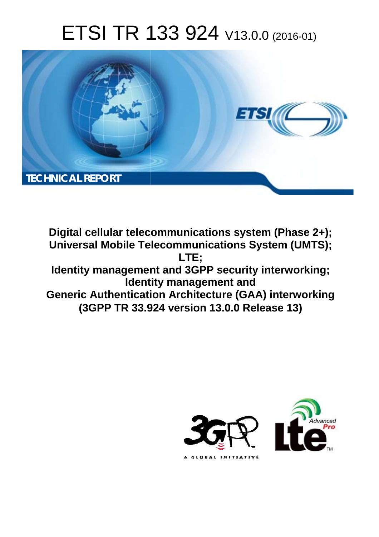# ETSI TR 133 924 V13.0.0 (2016-01)



**Digital cellular telecommunications system (Phase 2+); Universal Mobile Tel elecommunications System ( (UMTS); Identity management and 3GPP security interworking; Identity management and Generic Authentication Architecture (GAA) interworking (3GPP TR 33.9 .924 version 13.0.0 Release 13 13) LTE;** 

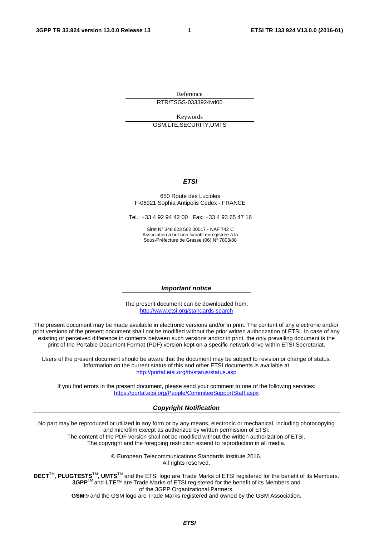Reference RTR/TSGS-0333924vd00

Keywords GSM,LTE,SECURITY,UMTS

#### *ETSI*

#### 650 Route des Lucioles F-06921 Sophia Antipolis Cedex - FRANCE

Tel.: +33 4 92 94 42 00 Fax: +33 4 93 65 47 16

Siret N° 348 623 562 00017 - NAF 742 C Association à but non lucratif enregistrée à la Sous-Préfecture de Grasse (06) N° 7803/88

#### *Important notice*

The present document can be downloaded from: <http://www.etsi.org/standards-search>

The present document may be made available in electronic versions and/or in print. The content of any electronic and/or print versions of the present document shall not be modified without the prior written authorization of ETSI. In case of any existing or perceived difference in contents between such versions and/or in print, the only prevailing document is the print of the Portable Document Format (PDF) version kept on a specific network drive within ETSI Secretariat.

Users of the present document should be aware that the document may be subject to revision or change of status. Information on the current status of this and other ETSI documents is available at <http://portal.etsi.org/tb/status/status.asp>

If you find errors in the present document, please send your comment to one of the following services: <https://portal.etsi.org/People/CommiteeSupportStaff.aspx>

#### *Copyright Notification*

No part may be reproduced or utilized in any form or by any means, electronic or mechanical, including photocopying and microfilm except as authorized by written permission of ETSI.

The content of the PDF version shall not be modified without the written authorization of ETSI. The copyright and the foregoing restriction extend to reproduction in all media.

> © European Telecommunications Standards Institute 2016. All rights reserved.

**DECT**TM, **PLUGTESTS**TM, **UMTS**TM and the ETSI logo are Trade Marks of ETSI registered for the benefit of its Members. **3GPP**TM and **LTE**™ are Trade Marks of ETSI registered for the benefit of its Members and of the 3GPP Organizational Partners.

**GSM**® and the GSM logo are Trade Marks registered and owned by the GSM Association.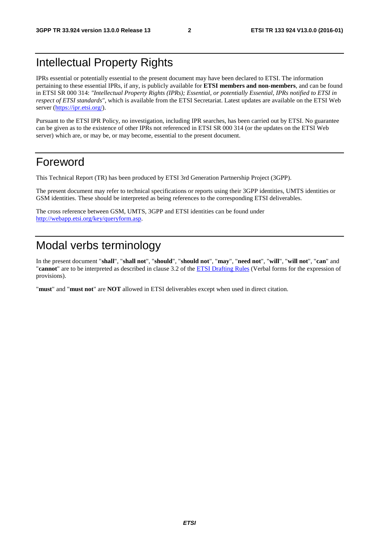### Intellectual Property Rights

IPRs essential or potentially essential to the present document may have been declared to ETSI. The information pertaining to these essential IPRs, if any, is publicly available for **ETSI members and non-members**, and can be found in ETSI SR 000 314: *"Intellectual Property Rights (IPRs); Essential, or potentially Essential, IPRs notified to ETSI in respect of ETSI standards"*, which is available from the ETSI Secretariat. Latest updates are available on the ETSI Web server ([https://ipr.etsi.org/\)](https://ipr.etsi.org/).

Pursuant to the ETSI IPR Policy, no investigation, including IPR searches, has been carried out by ETSI. No guarantee can be given as to the existence of other IPRs not referenced in ETSI SR 000 314 (or the updates on the ETSI Web server) which are, or may be, or may become, essential to the present document.

### Foreword

This Technical Report (TR) has been produced by ETSI 3rd Generation Partnership Project (3GPP).

The present document may refer to technical specifications or reports using their 3GPP identities, UMTS identities or GSM identities. These should be interpreted as being references to the corresponding ETSI deliverables.

The cross reference between GSM, UMTS, 3GPP and ETSI identities can be found under [http://webapp.etsi.org/key/queryform.asp.](http://webapp.etsi.org/key/queryform.asp)

### Modal verbs terminology

In the present document "**shall**", "**shall not**", "**should**", "**should not**", "**may**", "**need not**", "**will**", "**will not**", "**can**" and "**cannot**" are to be interpreted as described in clause 3.2 of the [ETSI Drafting Rules](http://portal.etsi.org/Help/editHelp!/Howtostart/ETSIDraftingRules.aspx) (Verbal forms for the expression of provisions).

"**must**" and "**must not**" are **NOT** allowed in ETSI deliverables except when used in direct citation.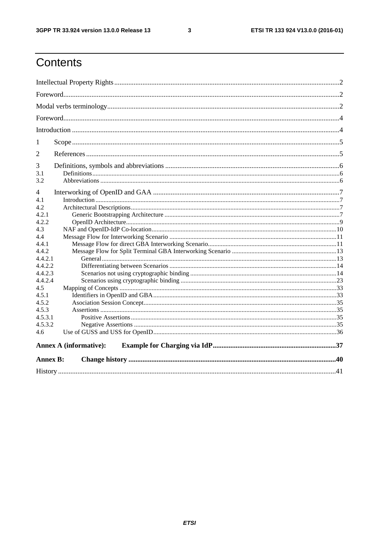$\mathbf{3}$ 

### Contents

| 1               |                               |  |  |  |  |
|-----------------|-------------------------------|--|--|--|--|
| $\overline{2}$  |                               |  |  |  |  |
| 3<br>3.1<br>3.2 |                               |  |  |  |  |
| 4               |                               |  |  |  |  |
| 4.1             |                               |  |  |  |  |
| 4.2.            |                               |  |  |  |  |
| 4.2.1           |                               |  |  |  |  |
| 4.2.2           |                               |  |  |  |  |
| 4.3             |                               |  |  |  |  |
| 4.4             |                               |  |  |  |  |
| 4.4.1           |                               |  |  |  |  |
| 4.4.2           |                               |  |  |  |  |
| 4.4.2.1         |                               |  |  |  |  |
| 4.4.2.2         |                               |  |  |  |  |
| 4.4.2.3         |                               |  |  |  |  |
| 4.4.2.4         |                               |  |  |  |  |
| 4.5             |                               |  |  |  |  |
| 4.5.1           |                               |  |  |  |  |
| 4.5.2           |                               |  |  |  |  |
| 4.5.3           |                               |  |  |  |  |
| 4.5.3.1         |                               |  |  |  |  |
| 4.5.3.2         |                               |  |  |  |  |
| 4.6             |                               |  |  |  |  |
|                 | <b>Annex A (informative):</b> |  |  |  |  |
| <b>Annex B:</b> |                               |  |  |  |  |
|                 |                               |  |  |  |  |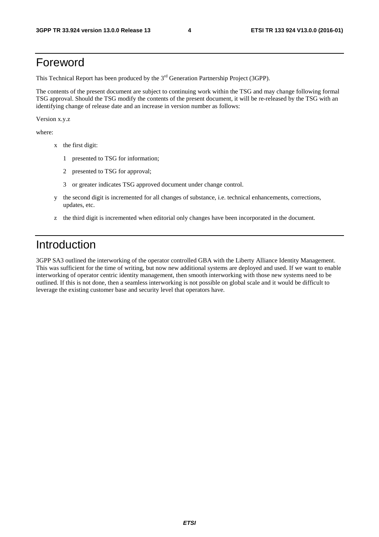### Foreword

This Technical Report has been produced by the  $3<sup>rd</sup>$  Generation Partnership Project (3GPP).

The contents of the present document are subject to continuing work within the TSG and may change following formal TSG approval. Should the TSG modify the contents of the present document, it will be re-released by the TSG with an identifying change of release date and an increase in version number as follows:

Version x.y.z

where:

- x the first digit:
	- 1 presented to TSG for information;
	- 2 presented to TSG for approval;
	- 3 or greater indicates TSG approved document under change control.
- y the second digit is incremented for all changes of substance, i.e. technical enhancements, corrections, updates, etc.
- z the third digit is incremented when editorial only changes have been incorporated in the document.

### Introduction

3GPP SA3 outlined the interworking of the operator controlled GBA with the Liberty Alliance Identity Management. This was sufficient for the time of writing, but now new additional systems are deployed and used. If we want to enable interworking of operator centric identity management, then smooth interworking with those new systems need to be outlined. If this is not done, then a seamless interworking is not possible on global scale and it would be difficult to leverage the existing customer base and security level that operators have.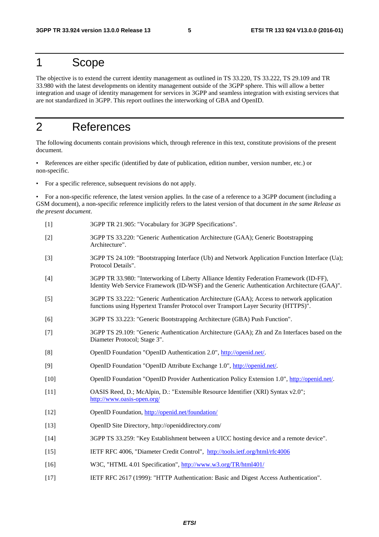### 1 Scope

The objective is to extend the current identity management as outlined in TS 33.220, TS 33.222, TS 29.109 and TR 33.980 with the latest developments on identity management outside of the 3GPP sphere. This will allow a better integration and usage of identity management for services in 3GPP and seamless integration with existing services that are not standardized in 3GPP. This report outlines the interworking of GBA and OpenID.

### 2 References

The following documents contain provisions which, through reference in this text, constitute provisions of the present document.

• References are either specific (identified by date of publication, edition number, version number, etc.) or non-specific.

• For a specific reference, subsequent revisions do not apply.

• For a non-specific reference, the latest version applies. In the case of a reference to a 3GPP document (including a GSM document), a non-specific reference implicitly refers to the latest version of that document *in the same Release as the present document*.

- [1] 3GPP TR 21.905: "Vocabulary for 3GPP Specifications".
- [2] 3GPP TS 33.220: "Generic Authentication Architecture (GAA); Generic Bootstrapping Architecture".
- [3] 3GPP TS 24.109: "Bootstrapping Interface (Ub) and Network Application Function Interface (Ua); Protocol Details".
- [4] 3GPP TR 33.980: "Interworking of Liberty Alliance Identity Federation Framework (ID-FF), Identity Web Service Framework (ID-WSF) and the Generic Authentication Architecture (GAA)".
- [5] 3GPP TS 33.222: "Generic Authentication Architecture (GAA); Access to network application functions using Hypertext Transfer Protocol over Transport Layer Security (HTTPS)".
- [6] 3GPP TS 33.223: "Generic Bootstrapping Architecture (GBA) Push Function".
- [7] 3GPP TS 29.109: "Generic Authentication Architecture (GAA); Zh and Zn Interfaces based on the Diameter Protocol; Stage 3".
- [8] OpenID Foundation "OpenID Authentication 2.0", [http://openid.net/.](http://openid.net/)
- [9] OpenID Foundation "OpenID Attribute Exchange 1.0", [http://openid.net/.](http://openid.net/)
- [10] OpenID Foundation "OpenID Provider Authentication Policy Extension 1.0", [http://openid.net/.](http://openid.net/)
- [11] OASIS Reed, D.; McAlpin, D.: "Extensible Resource Identifier (XRI) Syntax v2.0"; <http://www.oasis-open.org/>
- [12] OpenID Foundation, <http://openid.net/foundation/>
- [13] OpenID Site Directory, http://openiddirectory.com/
- [14] 3GPP TS 33.259: "Key Establishment between a UICC hosting device and a remote device".
- [15] IETF RFC 4006, "Diameter Credit Control", <http://tools.ietf.org/html/rfc4006>
- [16] W3C, "HTML 4.01 Specification", <http://www.w3.org/TR/html401/>
- [17] IETF RFC 2617 (1999): "HTTP Authentication: Basic and Digest Access Authentication".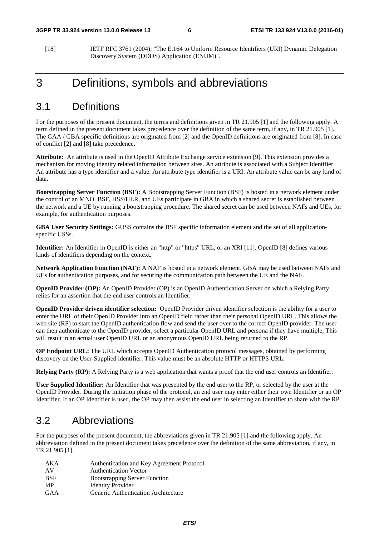[18] IETF RFC 3761 (2004): "The E.164 to Uniform Resource Identifiers (URI) Dynamic Delegation Discovery System (DDDS) Application (ENUM)".

### 3 Definitions, symbols and abbreviations

### 3.1 Definitions

For the purposes of the present document, the terms and definitions given in TR 21.905 [1] and the following apply. A term defined in the present document takes precedence over the definition of the same term, if any, in TR 21.905 [1]. The GAA / GBA specific definitions are originated from [2] and the OpenID definitions are originated from [8]. In case of conflict [2] and [8] take precedence.

**Attribute:** An attribute is used in the OpenID Attribute Exchange service extension [9]. This extension provides a mechanism for moving identity related information between sites. An attribute is associated with a Subject Identifier. An attribute has a type identifier and a value. An attribute type identifier is a URI. An attribute value can be any kind of data.

**Bootstrapping Server Function (BSF):** A Bootstrapping Server Function (BSF) is hosted in a network element under the control of an MNO. BSF, HSS/HLR, and UEs participate in GBA in which a shared secret is established between the network and a UE by running a bootstrapping procedure. The shared secret can be used between NAFs and UEs, for example, for authentication purposes.

**GBA User Security Settings:** GUSS contains the BSF specific information element and the set of all applicationspecific USSs.

**Identifier:** An Identifier in OpenID is either an "http" or "https" URL, or an XRI [11]. OpenID [8] defines various kinds of identifiers depending on the context.

**Network Application Function (NAF):** A NAF is hosted in a network element. GBA may be used between NAFs and UEs for authentication purposes, and for securing the communication path between the UE and the NAF.

**OpenID Provider (OP):** An OpenID Provider (OP) is an OpenID Authentication Server on which a Relying Party relies for an assertion that the end user controls an Identifier.

**OpenID Provider driven identifier selection:** OpenID Provider driven identifier selection is the ability for a user to enter the URL of their OpenID Provider into an OpenID field rather than their personal OpenID URL. This allows the web site (RP) to start the OpenID authentication flow and send the user over to the correct OpenID provider. The user can then authenticate to the OpenID provider, select a particular OpenID URL and persona if they have multiple, This will result in an actual user OpenID URL or an anonymous OpenID URL being returned to the RP.

**OP Endpoint URL:** The URL which accepts OpenID Authentication protocol messages, obtained by performing discovery on the User-Supplied identifier. This value must be an absolute HTTP or HTTPS URL.

**Relying Party (RP):** A Relying Party is a web application that wants a proof that the end user controls an Identifier.

**User Supplied Identifier:** An Identifier that was presented by the end user to the RP, or selected by the user at the OpenID Provider. During the initiation phase of the protocol, an end user may enter either their own Identifier or an OP Identifier. If an OP Identifier is used, the OP may then assist the end user in selecting an Identifier to share with the RP.

### 3.2 Abbreviations

For the purposes of the present document, the abbreviations given in TR 21.905 [1] and the following apply. An abbreviation defined in the present document takes precedence over the definition of the same abbreviation, if any, in TR 21.905 [1].

| AKA        | Authentication and Key Agreement Protocol |
|------------|-------------------------------------------|
| AV         | <b>Authentication Vector</b>              |
| <b>BSF</b> | <b>Bootstrapping Server Function</b>      |
| <b>IdP</b> | <b>Identity Provider</b>                  |
| GAA        | Generic Authentication Architecture       |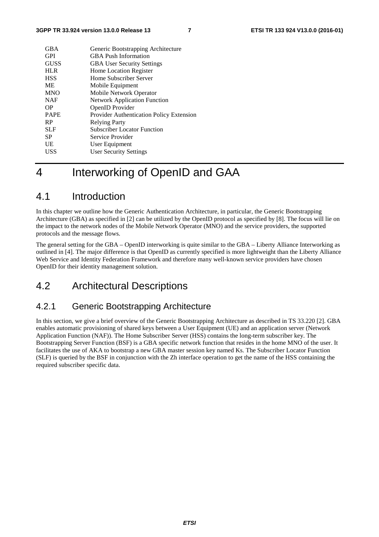| <b>GBA</b>  | Generic Bootstrapping Architecture       |
|-------------|------------------------------------------|
| <b>GPI</b>  | <b>GBA</b> Push Information              |
| <b>GUSS</b> | <b>GBA User Security Settings</b>        |
| <b>HLR</b>  | Home Location Register                   |
| <b>HSS</b>  | Home Subscriber Server                   |
| МE          | Mobile Equipment                         |
| <b>MNO</b>  | Mobile Network Operator                  |
| <b>NAF</b>  | <b>Network Application Function</b>      |
| <b>OP</b>   | OpenID Provider                          |
| <b>PAPE</b> | Provider Authentication Policy Extension |
| <b>RP</b>   | <b>Relying Party</b>                     |
| <b>SLF</b>  | <b>Subscriber Locator Function</b>       |
| SP          | Service Provider                         |
| UE          | User Equipment                           |
| <b>USS</b>  | <b>User Security Settings</b>            |
|             |                                          |

### 4 Interworking of OpenID and GAA

### 4.1 Introduction

In this chapter we outline how the Generic Authentication Architecture, in particular, the Generic Bootstrapping Architecture (GBA) as specified in [2] can be utilized by the OpenID protocol as specified by [8]. The focus will lie on the impact to the network nodes of the Mobile Network Operator (MNO) and the service providers, the supported protocols and the message flows.

The general setting for the GBA – OpenID interworking is quite similar to the GBA – Liberty Alliance Interworking as outlined in [4]. The major difference is that OpenID as currently specified is more lightweight than the Liberty Alliance Web Service and Identity Federation Framework and therefore many well-known service providers have chosen OpenID for their identity management solution.

### 4.2 Architectural Descriptions

### 4.2.1 Generic Bootstrapping Architecture

In this section, we give a brief overview of the Generic Bootstrapping Architecture as described in TS 33.220 [2]. GBA enables automatic provisioning of shared keys between a User Equipment (UE) and an application server (Network Application Function (NAF)). The Home Subscriber Server (HSS) contains the long-term subscriber key. The Bootstrapping Server Function (BSF) is a GBA specific network function that resides in the home MNO of the user. It facilitates the use of AKA to bootstrap a new GBA master session key named Ks. The Subscriber Locator Function (SLF) is queried by the BSF in conjunction with the Zh interface operation to get the name of the HSS containing the required subscriber specific data.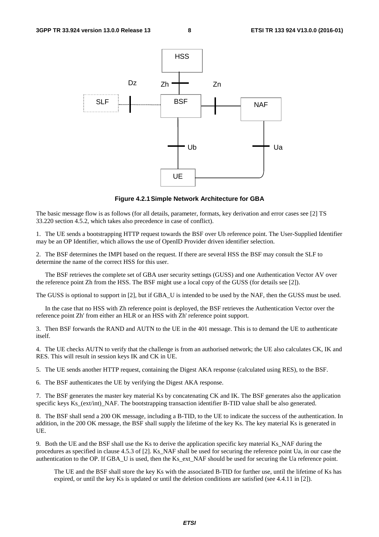

**Figure 4.2.1 Simple Network Architecture for GBA** 

The basic message flow is as follows (for all details, parameter, formats, key derivation and error cases see [2] TS 33.220 section 4.5.2, which takes also precedence in case of conflict).

1. The UE sends a bootstrapping HTTP request towards the BSF over Ub reference point. The User-Supplied Identifier may be an OP Identifier, which allows the use of OpenID Provider driven identifier selection.

2. The BSF determines the IMPI based on the request. If there are several HSS the BSF may consult the SLF to determine the name of the correct HSS for this user.

 The BSF retrieves the complete set of GBA user security settings (GUSS) and one Authentication Vector AV over the reference point Zh from the HSS. The BSF might use a local copy of the GUSS (for details see [2]).

The GUSS is optional to support in [2], but if GBA\_U is intended to be used by the NAF, then the GUSS must be used.

 In the case that no HSS with Zh reference point is deployed, the BSF retrieves the Authentication Vector over the reference point Zh' from either an HLR or an HSS with Zh' reference point support.

3. Then BSF forwards the RAND and AUTN to the UE in the 401 message. This is to demand the UE to authenticate itself.

4. The UE checks AUTN to verify that the challenge is from an authorised network; the UE also calculates CK, IK and RES. This will result in session keys IK and CK in UE.

5. The UE sends another HTTP request, containing the Digest AKA response (calculated using RES), to the BSF.

6. The BSF authenticates the UE by verifying the Digest AKA response.

7. The BSF generates the master key material Ks by concatenating CK and IK. The BSF generates also the application specific keys Ks\_(ext/int)\_NAF. The bootstrapping transaction identifier B-TID value shall be also generated.

8. The BSF shall send a 200 OK message, including a B-TID, to the UE to indicate the success of the authentication. In addition, in the 200 OK message, the BSF shall supply the lifetime of the key Ks. The key material Ks is generated in UE.

9. Both the UE and the BSF shall use the Ks to derive the application specific key material Ks\_NAF during the procedures as specified in clause 4.5.3 of [2]. Ks\_NAF shall be used for securing the reference point Ua, in our case the authentication to the OP. If GBA\_U is used, then the Ks\_ext\_NAF should be used for securing the Ua reference point.

The UE and the BSF shall store the key Ks with the associated B-TID for further use, until the lifetime of Ks has expired, or until the key Ks is updated or until the deletion conditions are satisfied (see 4.4.11 in [2]).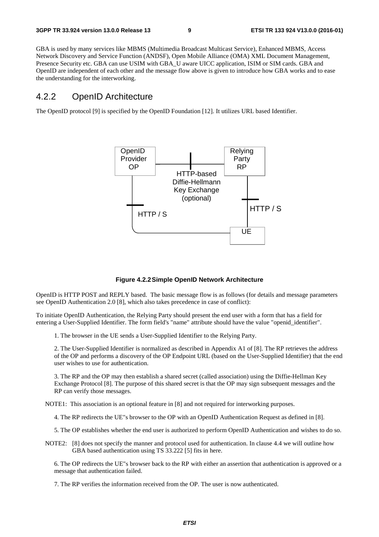GBA is used by many services like MBMS (Multimedia Broadcast Multicast Service), Enhanced MBMS, Access Network Discovery and Service Function (ANDSF), Open Mobile Alliance (OMA) XML Document Management, Presence Security etc. GBA can use USIM with GBA\_U aware UICC application, ISIM or SIM cards. GBA and OpenID are independent of each other and the message flow above is given to introduce how GBA works and to ease the understanding for the interworking.

#### 4.2.2 OpenID Architecture

The OpenID protocol [9] is specified by the OpenID Foundation [12]. It utilizes URL based Identifier.



**Figure 4.2.2 Simple OpenID Network Architecture** 

OpenID is HTTP POST and REPLY based. The basic message flow is as follows (for details and message parameters see OpenID Authentication 2.0 [8], which also takes precedence in case of conflict):

To initiate OpenID Authentication, the Relying Party should present the end user with a form that has a field for entering a User-Supplied Identifier. The form field's "name" attribute should have the value "openid\_identifier".

1. The browser in the UE sends a User-Supplied Identifier to the Relying Party.

2. The User-Supplied Identifier is normalized as described in Appendix A1 of [8]. The RP retrieves the address of the OP and performs a discovery of the OP Endpoint URL (based on the User-Supplied Identifier) that the end user wishes to use for authentication.

3. The RP and the OP may then establish a shared secret (called association) using the Diffie-Hellman Key Exchange Protocol [8]. The purpose of this shared secret is that the OP may sign subsequent messages and the RP can verify those messages.

NOTE1: This association is an optional feature in [8] and not required for interworking purposes.

4. The RP redirects the UE"s browser to the OP with an OpenID Authentication Request as defined in [8].

5. The OP establishes whether the end user is authorized to perform OpenID Authentication and wishes to do so.

NOTE2: [8] does not specify the manner and protocol used for authentication. In clause 4.4 we will outline how GBA based authentication using TS 33.222 [5] fits in here.

6. The OP redirects the UE"s browser back to the RP with either an assertion that authentication is approved or a message that authentication failed.

7. The RP verifies the information received from the OP. The user is now authenticated.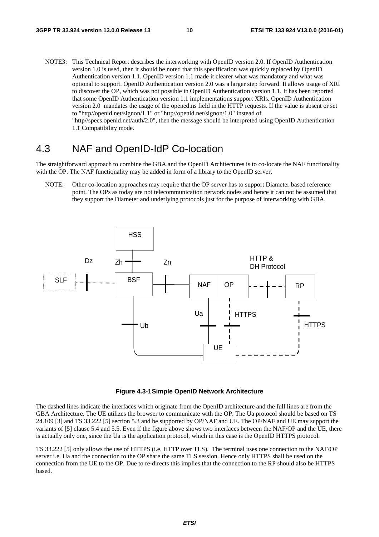NOTE3: This Technical Report describes the interworking with OpenID version 2.0. If OpenID Authentication version 1.0 is used, then it should be noted that this specification was quickly replaced by OpenID Authentication version 1.1. OpenID version 1.1 made it clearer what was mandatory and what was optional to support. OpenID Authentication version 2.0 was a larger step forward. It allows usage of XRI to discover the OP, which was not possible in OpenID Authentication version 1.1. It has been reported that some OpenID Authentication version 1.1 implementations support XRIs. OpenID Authentication version 2.0 mandates the usage of the opened.ns field in the HTTP requests. If the value is absent or set to "http//openid.net/signon/1.1" or "http//openid.net/signon/1.0" instead of "http//specs.openid.net/auth/2.0", then the message should be interpreted using OpenID Authentication 1.1 Compatibility mode.

### 4.3 NAF and OpenID-IdP Co-location

The straightforward approach to combine the GBA and the OpenID Architectures is to co-locate the NAF functionality with the OP. The NAF functionality may be added in form of a library to the OpenID server.

NOTE: Other co-location approaches may require that the OP server has to support Diameter based reference point. The OPs as today are not telecommunication network nodes and hence it can not be assumed that they support the Diameter and underlying protocols just for the purpose of interworking with GBA.





The dashed lines indicate the interfaces which originate from the OpenID architecture and the full lines are from the GBA Architecture. The UE utilizes the browser to communicate with the OP. The Ua protocol should be based on TS 24.109 [3] and TS 33.222 [5] section 5.3 and be supported by OP/NAF and UE. The OP/NAF and UE may support the variants of [5] clause 5.4 and 5.5. Even if the figure above shows two interfaces between the NAF/OP and the UE, there is actually only one, since the Ua is the application protocol, which in this case is the OpenID HTTPS protocol.

TS 33.222 [5] only allows the use of HTTPS (i.e. HTTP over TLS). The terminal uses one connection to the NAF/OP server i.e. Ua and the connection to the OP share the same TLS session. Hence only HTTPS shall be used on the connection from the UE to the OP. Due to re-directs this implies that the connection to the RP should also be HTTPS based.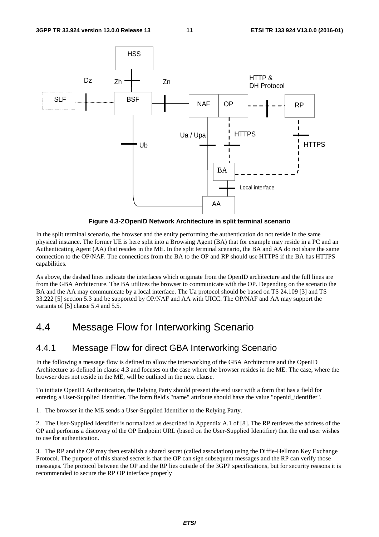

**Figure 4.3-2 OpenID Network Architecture in split terminal scenario** 

In the split terminal scenario, the browser and the entity performing the authentication do not reside in the same physical instance. The former UE is here split into a Browsing Agent (BA) that for example may reside in a PC and an Authenticating Agent (AA) that resides in the ME. In the split terminal scenario, the BA and AA do not share the same connection to the OP/NAF. The connections from the BA to the OP and RP should use HTTPS if the BA has HTTPS capabilities.

As above, the dashed lines indicate the interfaces which originate from the OpenID architecture and the full lines are from the GBA Architecture. The BA utilizes the browser to communicate with the OP. Depending on the scenario the BA and the AA may communicate by a local interface. The Ua protocol should be based on TS 24.109 [3] and TS 33.222 [5] section 5.3 and be supported by OP/NAF and AA with UICC. The OP/NAF and AA may support the variants of [5] clause 5.4 and 5.5.

### 4.4 Message Flow for Interworking Scenario

### 4.4.1 Message Flow for direct GBA Interworking Scenario

In the following a message flow is defined to allow the interworking of the GBA Architecture and the OpenID Architecture as defined in clause 4.3 and focuses on the case where the browser resides in the ME: The case, where the browser does not reside in the ME, will be outlined in the next clause.

To initiate OpenID Authentication, the Relying Party should present the end user with a form that has a field for entering a User-Supplied Identifier. The form field's "name" attribute should have the value "openid\_identifier".

1. The browser in the ME sends a User-Supplied Identifier to the Relying Party.

2. The User-Supplied Identifier is normalized as described in Appendix A.1 of [8]. The RP retrieves the address of the OP and performs a discovery of the OP Endpoint URL (based on the User-Supplied Identifier) that the end user wishes to use for authentication.

3. The RP and the OP may then establish a shared secret (called association) using the Diffie-Hellman Key Exchange Protocol. The purpose of this shared secret is that the OP can sign subsequent messages and the RP can verify those messages. The protocol between the OP and the RP lies outside of the 3GPP specifications, but for security reasons it is recommended to secure the RP OP interface properly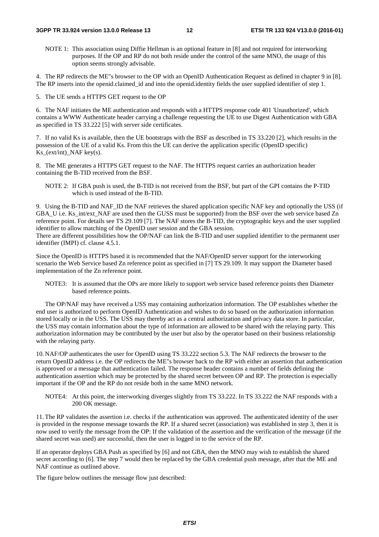#### **3GPP TR 33.924 version 13.0.0 Release 13 12 ETSI TR 133 924 V13.0.0 (2016-01)**

NOTE 1: This association using Diffie Hellman is an optional feature in [8] and not required for interworking purposes. If the OP and RP do not both reside under the control of the same MNO, the usage of this option seems strongly advisable.

4. The RP redirects the ME"s browser to the OP with an OpenID Authentication Request as defined in chapter 9 in [8]. The RP inserts into the openid.claimed\_id and into the openid.identity fields the user supplied identifier of step 1.

5. The UE sends a HTTPS GET request to the OP

6. The NAF initiates the ME authentication and responds with a HTTPS response code 401 'Unauthorized', which contains a WWW Authenticate header carrying a challenge requesting the UE to use Digest Authentication with GBA as specified in TS 33.222 [5] with server side certificates.

7. If no valid Ks is available, then the UE bootstraps with the BSF as described in TS 33.220 [2], which results in the possession of the UE of a valid Ks. From this the UE can derive the application specific (OpenID specific) Ks $(\text{ext/int})$  NAF key(s).

8. The ME generates a HTTPS GET request to the NAF. The HTTPS request carries an authorization header containing the B-TID received from the BSF.

NOTE 2: If GBA push is used, the B-TID is not received from the BSF, but part of the GPI contains the P-TID which is used instead of the B-TID.

9. Using the B-TID and NAF\_ID the NAF retrieves the shared application specific NAF key and optionally the USS (if GBA\_U i.e. Ks\_int/ext\_NAF are used then the GUSS must be supported) from the BSF over the web service based Zn reference point. For details see TS 29.109 [7]. The NAF stores the B-TID, the cryptographic keys and the user supplied identifier to allow matching of the OpenID user session and the GBA session. There are different possibilities how the OP/NAF can link the B-TID and user supplied identifier to the permanent user identifier (IMPI) cf. clause 4.5.1.

Since the OpenID is HTTPS based it is recommended that the NAF/OpenID server support for the interworking scenario the Web Service based Zn reference point as specified in [7] TS 29.109. It may support the Diameter based implementation of the Zn reference point.

NOTE3: It is assumed that the OPs are more likely to support web service based reference points then Diameter based reference points.

 The OP/NAF may have received a USS may containing authorization information. The OP establishes whether the end user is authorized to perform OpenID Authentication and wishes to do so based on the authorization information stored locally or in the USS. The USS may thereby act as a central authorization and privacy data store. In particular, the USS may contain information about the type of information are allowed to be shared with the relaying party. This authorization information may be contributed by the user but also by the operator based on their business relationship with the relaying party.

10. NAF/OP authenticates the user for OpenID using TS 33.222 section 5.3. The NAF redirects the browser to the return OpenID address i.e. the OP redirects the ME"s browser back to the RP with either an assertion that authentication is approved or a message that authentication failed. The response header contains a number of fields defining the authentication assertion which may be protected by the shared secret between OP and RP. The protection is especially important if the OP and the RP do not reside both in the same MNO network.

NOTE4: At this point, the interworking diverges slightly from TS 33.222. In TS 33.222 the NAF responds with a 200 OK message.

11. The RP validates the assertion i.e. checks if the authentication was approved. The authenticated identity of the user is provided in the response message towards the RP. If a shared secret (association) was established in step 3, then it is now used to verify the message from the OP: If the validation of the assertion and the verification of the message (if the shared secret was used) are successful, then the user is logged in to the service of the RP.

If an operator deploys GBA Push as specified by [6] and not GBA, then the MNO may wish to establish the shared secret according to [6]. The step 7 would then be replaced by the GBA credential push message, after that the ME and NAF continue as outlined above.

The figure below outlines the message flow just described: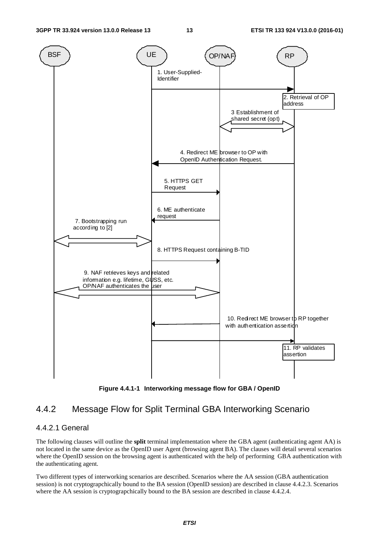

**Figure 4.4.1-1 Interworking message flow for GBA / OpenID** 

### 4.4.2 Message Flow for Split Terminal GBA Interworking Scenario

#### 4.4.2.1 General

The following clauses will outline the **split** terminal implementation where the GBA agent (authenticating agent AA) is not located in the same device as the OpenID user Agent (browsing agent BA). The clauses will detail several scenarios where the OpenID session on the browsing agent is authenticated with the help of performing GBA authentication with the authenticating agent.

Two different types of interworking scenarios are described. Scenarios where the AA session (GBA authentication session) is not cryptograpchically bound to the BA session (OpenID session) are described in clause 4.4.2.3. Scenarios where the AA session is cryptograpchically bound to the BA session are described in clause 4.4.2.4.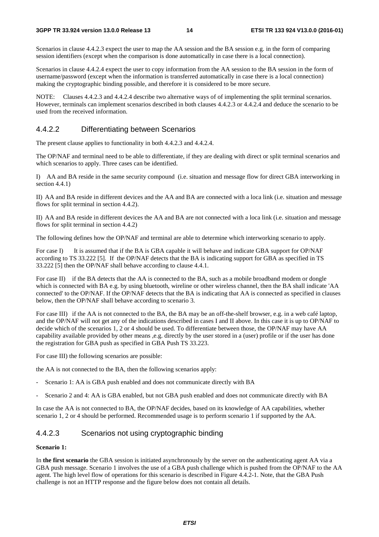Scenarios in clause 4.4.2.3 expect the user to map the AA session and the BA session e.g. in the form of comparing session identifiers (except when the comparison is done automatically in case there is a local connection).

Scenarios in clause 4.4.2.4 expect the user to copy information from the AA session to the BA session in the form of username/password (except when the information is transferred automatically in case there is a local connection) making the cryptographic binding possible, and therefore it is considered to be more secure.

NOTE: Clauses 4.4.2.3 and 4.4.2.4 describe two alternative ways of of implementing the split terminal scenarios. However, terminals can implement scenarios described in both clauses 4.4.2.3 or 4.4.2.4 and deduce the scenario to be used from the received information.

#### 4.4.2.2 Differentiating between Scenarios

The present clause applies to functionality in both 4.4.2.3 and 4.4.2.4.

The OP/NAF and terminal need to be able to differentiate, if they are dealing with direct or split terminal scenarios and which scenarios to apply. Three cases can be identified.

I) AA and BA reside in the same security compound (i.e. situation and message flow for direct GBA interworking in section 4.4.1)

II) AA and BA reside in different devices and the AA and BA are connected with a loca link (i.e. situation and message flows for split terminal in section 4.4.2).

II) AA and BA reside in different devices the AA and BA are not connected with a loca link (i.e. situation and message flows for split terminal in section 4.4.2)

The following defines how the OP/NAF and terminal are able to determine which interworking scenario to apply.

For case I) It is assumed that if the BA is GBA capable it will behave and indicate GBA support for OP/NAF according to TS 33.222 [5]. If the OP/NAF detects that the BA is indicating support for GBA as specified in TS 33.222 [5] then the OP/NAF shall behave according to clause 4.4.1.

For case II) if the BA detects that the AA is connected to the BA, such as a mobile broadband modem or dongle which is connected with BA e.g. by using bluetooth, wireline or other wireless channel, then the BA shall indicate 'AA connected' to the OP/NAF. If the OP/NAF detects that the BA is indicating that AA is connected as specified in clauses below, then the OP/NAF shall behave according to scenario 3.

For case III) if the AA is not connected to the BA, the BA may be an off-the-shelf browser, e.g. in a web café laptop, and the OP/NAF will not get any of the indications described in cases I and II above. In this case it is up to OP/NAF to decide which of the scenarios 1, 2 or 4 should be used. To differentiate between those, the OP/NAF may have AA capability available provided by other means ,e.g. directly by the user stored in a (user) profile or if the user has done the registration for GBA push as specified in GBA Push TS 33.223.

For case III) the following scenarios are possible:

the AA is not connected to the BA, then the following scenarios apply:

- Scenario 1: AA is GBA push enabled and does not communicate directly with BA
- Scenario 2 and 4: AA is GBA enabled, but not GBA push enabled and does not communicate directly with BA

In case the AA is not connected to BA, the OP/NAF decides, based on its knowledge of AA capabilities, whether scenario 1, 2 or 4 should be performed. Recommended usage is to perform scenario 1 if supported by the AA.

#### 4.4.2.3 Scenarios not using cryptographic binding

#### **Scenario 1:**

In **the first scenario** the GBA session is initiated asynchronously by the server on the authenticating agent AA via a GBA push message. Scenario 1 involves the use of a GBA push challenge which is pushed from the OP/NAF to the AA agent. The high level flow of operations for this scenario is described in Figure 4.4.2-1. Note, that the GBA Push challenge is not an HTTP response and the figure below does not contain all details.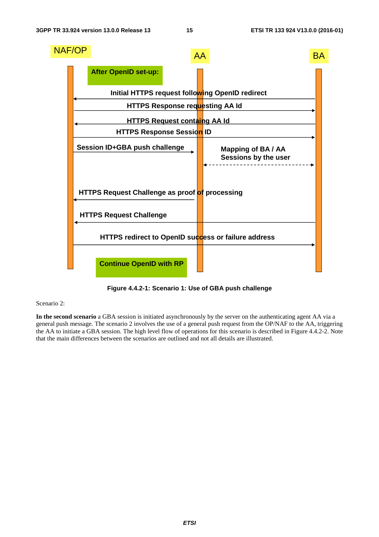

**Figure 4.4.2-1: Scenario 1: Use of GBA push challenge** 

#### Scenario 2:

**In the second scenario** a GBA session is initiated asynchronously by the server on the authenticating agent AA via a general push message. The scenario 2 involves the use of a general push request from the OP/NAF to the AA, triggering the AA to initiate a GBA session. The high level flow of operations for this scenario is described in Figure 4.4.2-2. Note that the main differences between the scenarios are outlined and not all details are illustrated.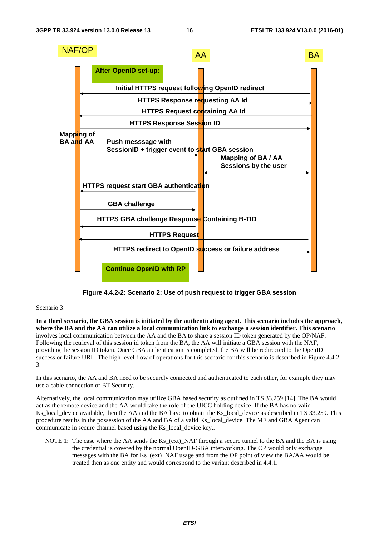

**Figure 4.4.2-2: Scenario 2: Use of push request to trigger GBA session** 

#### Scenario 3:

**In a third scenario, the GBA session is initiated by the authenticating agent. This scenario includes the approach, where the BA and the AA can utilize a local communication link to exchange a session identifier. This scenario**  involves local communication between the AA and the BA to share a session ID token generated by the OP/NAF. Following the retrieval of this session id token from the BA, the AA will initiate a GBA session with the NAF, providing the session ID token. Once GBA authentication is completed, the BA will be redirected to the OpenID success or failure URL. The high level flow of operations for this scenario for this scenario is described in Figure 4.4.2- 3.

In this scenario, the AA and BA need to be securely connected and authenticated to each other, for example they may use a cable connection or BT Security.

Alternatively, the local communication may utilize GBA based security as outlined in TS 33.259 [14]. The BA would act as the remote device and the AA would take the role of the UICC holding device. If the BA has no valid Ks\_local\_device available, then the AA and the BA have to obtain the Ks\_local\_device as described in TS 33.259. This procedure results in the possession of the AA and BA of a valid Ks\_local\_device. The ME and GBA Agent can communicate in secure channel based using the Ks\_local\_device key..

NOTE 1: The case where the AA sends the Ks\_(ext)\_NAF through a secure tunnel to the BA and the BA is using the credential is covered by the normal OpenID-GBA interworking. The OP would only exchange messages with the BA for Ks\_(ext)\_NAF usage and from the OP point of view the BA/AA would be treated then as one entity and would correspond to the variant described in 4.4.1.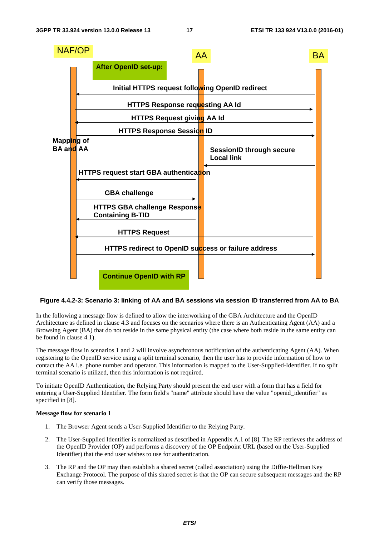

#### **Figure 4.4.2-3: Scenario 3: linking of AA and BA sessions via session ID transferred from AA to BA**

In the following a message flow is defined to allow the interworking of the GBA Architecture and the OpenID Architecture as defined in clause 4.3 and focuses on the scenarios where there is an Authenticating Agent (AA) and a Browsing Agent (BA) that do not reside in the same physical entity (the case where both reside in the same entity can be found in clause 4.1).

The message flow in scenarios 1 and 2 will involve asynchronous notification of the authenticating Agent (AA). When registering to the OpenID service using a split terminal scenario, then the user has to provide information of how to contact the AA i.e. phone number and operator. This information is mapped to the User-Supplied-Identifier. If no split terminal scenario is utilized, then this information is not required.

To initiate OpenID Authentication, the Relying Party should present the end user with a form that has a field for entering a User-Supplied Identifier. The form field's "name" attribute should have the value "openid\_identifier" as specified in [8].

#### **Message flow for scenario 1**

- 1. The Browser Agent sends a User-Supplied Identifier to the Relying Party.
- 2. The User-Supplied Identifier is normalized as described in Appendix A.1 of [8]. The RP retrieves the address of the OpenID Provider (OP) and performs a discovery of the OP Endpoint URL (based on the User-Supplied Identifier) that the end user wishes to use for authentication.
- 3. The RP and the OP may then establish a shared secret (called association) using the Diffie-Hellman Key Exchange Protocol. The purpose of this shared secret is that the OP can secure subsequent messages and the RP can verify those messages.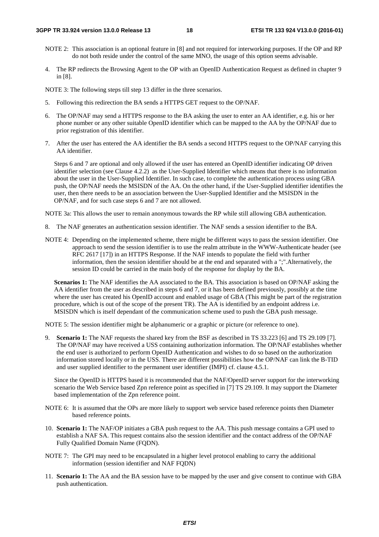- NOTE 2: This association is an optional feature in [8] and not required for interworking purposes. If the OP and RP do not both reside under the control of the same MNO, the usage of this option seems advisable.
- 4. The RP redirects the Browsing Agent to the OP with an OpenID Authentication Request as defined in chapter 9 in [8].

NOTE 3: The following steps till step 13 differ in the three scenarios.

- 5. Following this redirection the BA sends a HTTPS GET request to the OP/NAF.
- 6. The OP/NAF may send a HTTPS response to the BA asking the user to enter an AA identifier, e.g. his or her phone number or any other suitable OpenID identifier which can be mapped to the AA by the OP/NAF due to prior registration of this identifier.
- 7. After the user has entered the AA identifier the BA sends a second HTTPS request to the OP/NAF carrying this AA identifier.

Steps 6 and 7 are optional and only allowed if the user has entered an OpenID identifier indicating OP driven identifier selection (see Clause 4.2.2) as the User-Supplied Identifier which means that there is no information about the user in the User-Supplied Identifier. In such case, to complete the authentication process using GBA push, the OP/NAF needs the MSISDN of the AA. On the other hand, if the User-Supplied identifier identifies the user, then there needs to be an association between the User-Supplied Identifier and the MSISDN in the OP/NAF, and for such case steps 6 and 7 are not allowed.

NOTE 3a: This allows the user to remain anonymous towards the RP while still allowing GBA authentication.

- 8. The NAF generates an authentication session identifier. The NAF sends a session identifier to the BA.
- NOTE 4: Depending on the implemented scheme, there might be different ways to pass the session identifier. One approach to send the session identifier is to use the realm attribute in the WWW-Authenticate header (see RFC 2617 [17]) in an HTTPS Response. If the NAF intends to populate the field with further information, then the session identifier should be at the end and separated with a ";".Alternatively, the session ID could be carried in the main body of the response for display by the BA.

**Scenarios 1:** The NAF identifies the AA associated to the BA. This association is based on OP/NAF asking the AA identifier from the user as described in steps 6 and 7, or it has been defined previously, possibly at the time where the user has created his OpenID account and enabled usage of GBA (This might be part of the registration procedure, which is out of the scope of the present TR). The AA is identified by an endpoint address i.e. MSISDN which is itself dependant of the communication scheme used to push the GBA push message.

NOTE 5: The session identifier might be alphanumeric or a graphic or picture (or reference to one).

9. **Scenario 1:** The NAF requests the shared key from the BSF as described in TS 33.223 [6] and TS 29.109 [7]. The OP/NAF may have received a USS containing authorization information. The OP/NAF establishes whether the end user is authorized to perform OpenID Authentication and wishes to do so based on the authorization information stored locally or in the USS. There are different possibilities how the OP/NAF can link the B-TID and user supplied identifier to the permanent user identifier (IMPI) cf. clause 4.5.1.

Since the OpenID is HTTPS based it is recommended that the NAF/OpenID server support for the interworking scenario the Web Service based Zpn reference point as specified in [7] TS 29.109. It may support the Diameter based implementation of the Zpn reference point.

- NOTE 6: It is assumed that the OPs are more likely to support web service based reference points then Diameter based reference points.
- 10. **Scenario 1:** The NAF/OP initiates a GBA push request to the AA. This push message contains a GPI used to establish a NAF SA. This request contains also the session identifier and the contact address of the OP/NAF Fully Qualified Domain Name (FQDN).
- NOTE 7: The GPI may need to be encapsulated in a higher level protocol enabling to carry the additional information (session identifier and NAF FQDN)
- 11. **Scenario 1:** The AA and the BA session have to be mapped by the user and give consent to continue with GBA push authentication.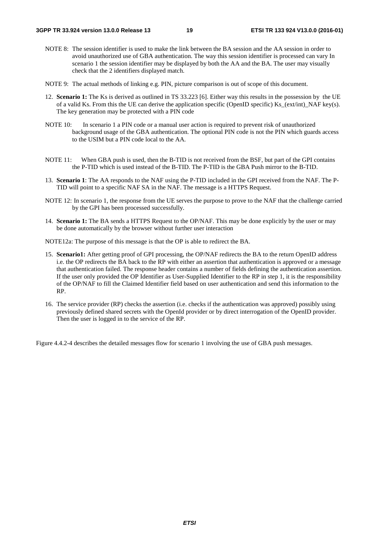- NOTE 8: The session identifier is used to make the link between the BA session and the AA session in order to avoid unauthorized use of GBA authentication. The way this session identifier is processed can vary In scenario 1 the session identifier may be displayed by both the AA and the BA. The user may visually check that the 2 identifiers displayed match.
- NOTE 9: The actual methods of linking e.g. PIN, picture comparison is out of scope of this document.
- 12. **Scenario 1:** The Ks is derived as outlined in TS 33.223 [6]. Either way this results in the possession by the UE of a valid Ks. From this the UE can derive the application specific (OpenID specific) Ks\_(ext/int)\_NAF key(s). The key generation may be protected with a PIN code
- NOTE 10: In scenario 1 a PIN code or a manual user action is required to prevent risk of unauthorized background usage of the GBA authentication. The optional PIN code is not the PIN which guards access to the USIM but a PIN code local to the AA.
- NOTE 11: When GBA push is used, then the B-TID is not received from the BSF, but part of the GPI contains the P-TID which is used instead of the B-TID. The P-TID is the GBA Push mirror to the B-TID.
- 13. **Scenario 1**: The AA responds to the NAF using the P-TID included in the GPI received from the NAF. The P-TID will point to a specific NAF SA in the NAF. The message is a HTTPS Request.
- NOTE 12: In scenario 1, the response from the UE serves the purpose to prove to the NAF that the challenge carried by the GPI has been processed successfully.
- 14. **Scenario 1:** The BA sends a HTTPS Request to the OP/NAF. This may be done explicitly by the user or may be done automatically by the browser without further user interaction

NOTE12a: The purpose of this message is that the OP is able to redirect the BA.

- 15. **Scenario1:** After getting proof of GPI processing, the OP/NAF redirects the BA to the return OpenID address i.e. the OP redirects the BA back to the RP with either an assertion that authentication is approved or a message that authentication failed. The response header contains a number of fields defining the authentication assertion. If the user only provided the OP Identifier as User-Supplied Identifier to the RP in step 1, it is the responsibility of the OP/NAF to fill the Claimed Identifier field based on user authentication and send this information to the RP.
- 16. The service provider (RP) checks the assertion (i.e. checks if the authentication was approved) possibly using previously defined shared secrets with the OpenId provider or by direct interrogation of the OpenID provider. Then the user is logged in to the service of the RP.

Figure 4.4.2-4 describes the detailed messages flow for scenario 1 involving the use of GBA push messages.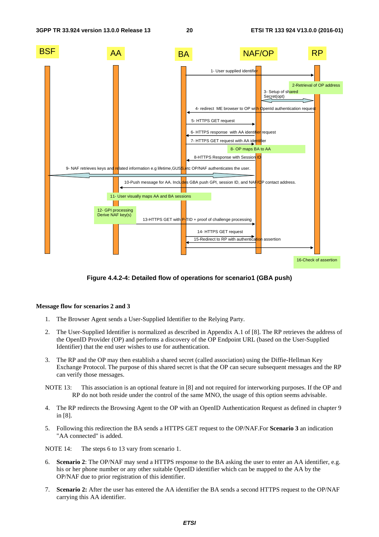

**Figure 4.4.2-4: Detailed flow of operations for scenario1 (GBA push)** 

#### **Message flow for scenarios 2 and 3**

- 1. The Browser Agent sends a User-Supplied Identifier to the Relying Party.
- 2. The User-Supplied Identifier is normalized as described in Appendix A.1 of [8]. The RP retrieves the address of the OpenID Provider (OP) and performs a discovery of the OP Endpoint URL (based on the User-Supplied Identifier) that the end user wishes to use for authentication.
- 3. The RP and the OP may then establish a shared secret (called association) using the Diffie-Hellman Key Exchange Protocol. The purpose of this shared secret is that the OP can secure subsequent messages and the RP can verify those messages.
- NOTE 13: This association is an optional feature in [8] and not required for interworking purposes. If the OP and RP do not both reside under the control of the same MNO, the usage of this option seems advisable.
- 4. The RP redirects the Browsing Agent to the OP with an OpenID Authentication Request as defined in chapter 9 in [8].
- 5. Following this redirection the BA sends a HTTPS GET request to the OP/NAF.For **Scenario 3** an indication "AA connected" is added.

NOTE 14: The steps 6 to 13 vary from scenario 1.

- 6. **Scenario 2**: The OP/NAF may send a HTTPS response to the BA asking the user to enter an AA identifier, e.g. his or her phone number or any other suitable OpenID identifier which can be mapped to the AA by the OP/NAF due to prior registration of this identifier.
- 7. **Scenario 2:** After the user has entered the AA identifier the BA sends a second HTTPS request to the OP/NAF carrying this AA identifier.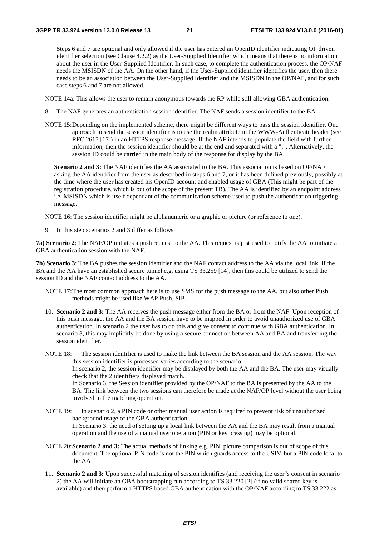Steps 6 and 7 are optional and only allowed if the user has entered an OpenID identifier indicating OP driven identifier selection (see Clause 4.2.2) as the User-Supplied Identifier which means that there is no information about the user in the User-Supplied Identifier. In such case, to complete the authentication process, the OP/NAF needs the MSISDN of the AA. On the other hand, if the User-Supplied identifier identifies the user, then there needs to be an association between the User-Supplied Identifier and the MSISDN in the OP/NAF, and for such case steps 6 and 7 are not allowed.

NOTE 14a: This allows the user to remain anonymous towards the RP while still allowing GBA authentication.

- 8. The NAF generates an authentication session identifier. The NAF sends a session identifier to the BA.
- NOTE 15: Depending on the implemented scheme, there might be different ways to pass the session identifier. One approach to send the session identifier is to use the realm attribute in the WWW-Authenticate header (see RFC 2617 [17]) in an HTTPS response message. If the NAF intends to populate the field with further information, then the session identifier should be at the end and separated with a ";". Alternatively, the session ID could be carried in the main body of the response for display by the BA.

**Scenario 2 and 3:** The NAF identifies the AA associated to the BA. This association is based on OP/NAF asking the AA identifier from the user as described in steps 6 and 7, or it has been defined previously, possibly at the time where the user has created his OpenID account and enabled usage of GBA (This might be part of the registration procedure, which is out of the scope of the present TR). The AA is identified by an endpoint address i.e. MSISDN which is itself dependant of the communication scheme used to push the authentication triggering message.

NOTE 16: The session identifier might be alphanumeric or a graphic or picture (or reference to one).

9. In this step scenarios 2 and 3 differ as follows:

**7a) Scenario 2**: The NAF/OP initiates a push request to the AA. This request is just used to notify the AA to initiate a GBA authentication session with the NAF.

**7b) Scenario 3**: The BA pushes the session identifier and the NAF contact address to the AA via the local link. If the BA and the AA have an established secure tunnel e.g. using TS 33.259 [14], then this could be utilized to send the session ID and the NAF contact address to the AA.

- NOTE 17: The most common approach here is to use SMS for the push message to the AA, but also other Push methods might be used like WAP Push, SIP.
- 10. **Scenario 2 and 3:** The AA receives the push message either from the BA or from the NAF. Upon reception of this push message, the AA and the BA session have to be mapped in order to avoid unauthorized use of GBA authentication. In scenario 2 the user has to do this and give consent to continue with GBA authentication. In scenario 3, this may implicitly be done by using a secure connection between AA and BA and transferring the session identifier.
- NOTE 18: The session identifier is used to make the link between the BA session and the AA session. The way this session identifier is processed varies according to the scenario: In scenario 2, the session identifier may be displayed by both the AA and the BA. The user may visually check that the 2 identifiers displayed match. In Scenario 3, the Session identifier provided by the OP/NAF to the BA is presented by the AA to the BA. The link between the two sessions can therefore be made at the NAF/OP level without the user being involved in the matching operation.
- NOTE 19: In scenario 2, a PIN code or other manual user action is required to prevent risk of unauthorized background usage of the GBA authentication. In Scenario 3, the need of setting up a local link between the AA and the BA may result from a manual operation and the use of a manual user operation (PIN or key pressing) may be optional.
- NOTE 20: **Scenario 2 and 3:** The actual methods of linking e.g. PIN, picture comparison is out of scope of this document. The optional PIN code is not the PIN which guards access to the USIM but a PIN code local to the AA
- 11. **Scenario 2 and 3:** Upon successful matching of session identifies (and receiving the user"s consent in scenario 2) the AA will initiate an GBA bootstrapping run according to TS 33.220 [2] (if no valid shared key is available) and then perform a HTTPS based GBA authentication with the OP/NAF according to TS 33.222 as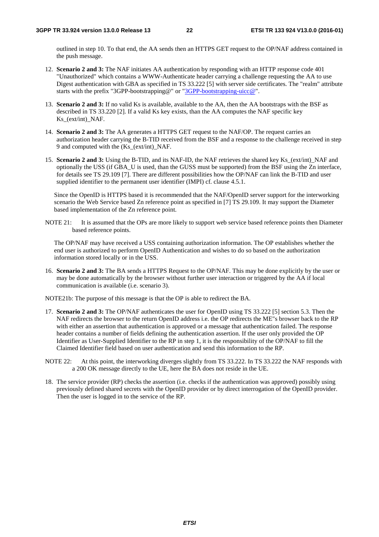outlined in step 10. To that end, the AA sends then an HTTPS GET request to the OP/NAF address contained in the push message.

- 12. **Scenario 2 and 3:** The NAF initiates AA authentication by responding with an HTTP response code 401 "Unauthorized" which contains a WWW-Authenticate header carrying a challenge requesting the AA to use Digest authentication with GBA as specified in TS 33.222 [5] with server side certificates. The "realm" attribute starts with the prefix "3GPP-bootstrapping@" or "[3GPP-bootstrapping-uicc@"](mailto:3GPP-bootstrapping-uicc@).
- 13. **Scenario 2 and 3:** If no valid Ks is available, available to the AA, then the AA bootstraps with the BSF as described in TS 33.220 [2]. If a valid Ks key exists, than the AA computes the NAF specific key Ks (ext/int) NAF.
- 14. **Scenario 2 and 3:** The AA generates a HTTPS GET request to the NAF/OP. The request carries an authorization header carrying the B-TID received from the BSF and a response to the challenge received in step 9 and computed with the (Ks\_(ext/int)\_NAF.
- 15. **Scenario 2 and 3:** Using the B-TID, and its NAF-ID, the NAF retrieves the shared key Ks\_(ext/int)\_NAF and optionally the USS (if GBA\_U is used, than the GUSS must be supported) from the BSF using the Zn interface, for details see TS 29.109 [7]. There are different possibilities how the OP/NAF can link the B-TID and user supplied identifier to the permanent user identifier (IMPI) cf. clause 4.5.1.

Since the OpenID is HTTPS based it is recommended that the NAF/OpenID server support for the interworking scenario the Web Service based Zn reference point as specified in [7] TS 29.109. It may support the Diameter based implementation of the Zn reference point.

NOTE 21: It is assumed that the OPs are more likely to support web service based reference points then Diameter based reference points.

The OP/NAF may have received a USS containing authorization information. The OP establishes whether the end user is authorized to perform OpenID Authentication and wishes to do so based on the authorization information stored locally or in the USS.

16. **Scenario 2 and 3:** The BA sends a HTTPS Request to the OP/NAF. This may be done explicitly by the user or may be done automatically by the browser without further user interaction or triggered by the AA if local communication is available (i.e. scenario 3).

NOTE21b: The purpose of this message is that the OP is able to redirect the BA.

- 17. **Scenario 2 and 3:** The OP/NAF authenticates the user for OpenID using TS 33.222 [5] section 5.3. Then the NAF redirects the browser to the return OpenID address i.e. the OP redirects the ME"s browser back to the RP with either an assertion that authentication is approved or a message that authentication failed. The response header contains a number of fields defining the authentication assertion. If the user only provided the OP Identifier as User-Supplied Identifier to the RP in step 1, it is the responsibility of the OP/NAF to fill the Claimed Identifier field based on user authentication and send this information to the RP.
- NOTE 22: At this point, the interworking diverges slightly from TS 33.222. In TS 33.222 the NAF responds with a 200 OK message directly to the UE, here the BA does not reside in the UE.
- 18. The service provider (RP) checks the assertion (i.e. checks if the authentication was approved) possibly using previously defined shared secrets with the OpenID provider or by direct interrogation of the OpenID provider. Then the user is logged in to the service of the RP.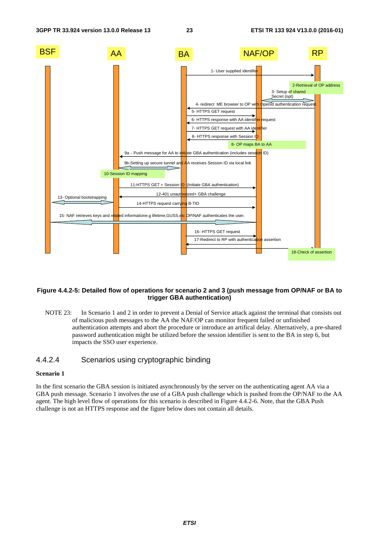

#### **Figure 4.4.2-5: Detailed flow of operations for scenario 2 and 3 (push message from OP/NAF or BA to trigger GBA authentication)**

NOTE 23: In Scenario 1 and 2 in order to prevent a Denial of Service attack against the terminal that consists out of malicious push messages to the AA the NAF/OP can monitor frequent failed or unfinished authentication attempts and abort the procedure or introduce an artifical delay. Alternatively, a pre-shared password authentication might be utilized before the session identifier is sent to the BA in step 6, but impacts the SSO user experience.

#### 4.4.2.4 Scenarios using cryptographic binding

#### **Scenario 1**

In the first scenario the GBA session is initiated asynchronously by the server on the authenticating agent AA via a GBA push message. Scenario 1 involves the use of a GBA push challenge which is pushed from the OP/NAF to the AA agent. The high level flow of operations for this scenario is described in Figure 4.4.2-6. Note, that the GBA Push challenge is not an HTTPS response and the figure below does not contain all details.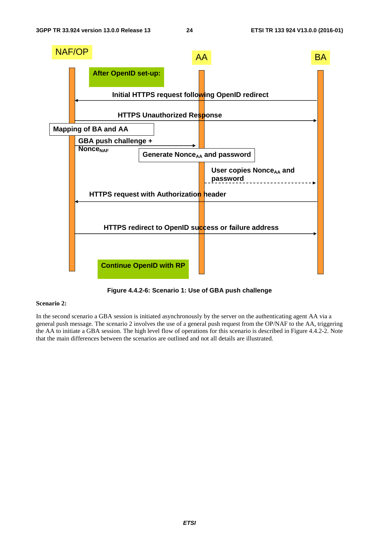

**Figure 4.4.2-6: Scenario 1: Use of GBA push challenge** 

#### **Scenario 2:**

In the second scenario a GBA session is initiated asynchronously by the server on the authenticating agent AA via a general push message. The scenario 2 involves the use of a general push request from the OP/NAF to the AA, triggering the AA to initiate a GBA session. The high level flow of operations for this scenario is described in Figure 4.4.2-2. Note that the main differences between the scenarios are outlined and not all details are illustrated.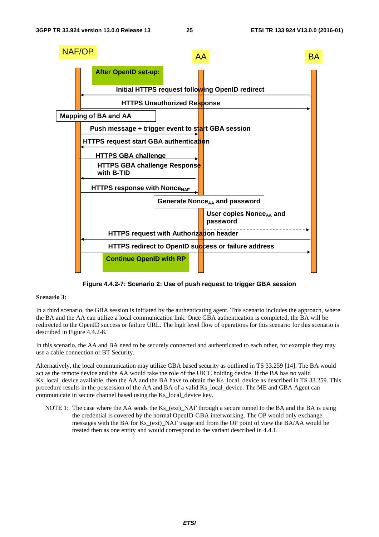

**Figure 4.4.2-7: Scenario 2: Use of push request to trigger GBA session** 

#### **Scenario 3:**

In a third scenario, the GBA session is initiated by the authenticating agent. This scenario includes the approach, where the BA and the AA can utilize a local communication link. Once GBA authentication is completed, the BA will be redirected to the OpenID success or failure URL. The high level flow of operations for this scenario for this scenario is described in Figure 4.4.2-8.

In this scenario, the AA and BA need to be securely connected and authenticated to each other, for example they may use a cable connection or BT Security.

Alternatively, the local communication may utilize GBA based security as outlined in TS 33.259 [14]. The BA would act as the remote device and the AA would take the role of the UICC holding device. If the BA has no valid Ks\_local\_device available, then the AA and the BA have to obtain the Ks\_local\_device as described in TS 33.259. This procedure results in the possession of the AA and BA of a valid Ks\_local\_device. The ME and GBA Agent can communicate in secure channel based using the Ks\_local\_device key.

NOTE 1: The case where the AA sends the Ks (ext) NAF through a secure tunnel to the BA and the BA is using the credential is covered by the normal OpenID-GBA interworking. The OP would only exchange messages with the BA for Ks (ext) NAF usage and from the OP point of view the BA/AA would be treated then as one entity and would correspond to the variant described in 4.4.1.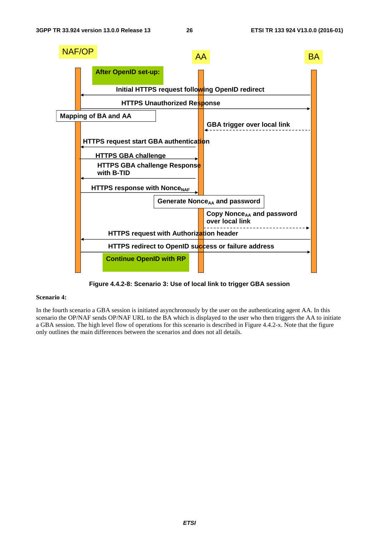

**Figure 4.4.2-8: Scenario 3: Use of local link to trigger GBA session** 

#### **Scenario 4:**

In the fourth scenario a GBA session is initiated asynchronously by the user on the authenticating agent AA. In this scenario the OP/NAF sends OP/NAF URL to the BA which is displayed to the user who then triggers the AA to initiate a GBA session. The high level flow of operations for this scenario is described in Figure 4.4.2-x. Note that the figure only outlines the main differences between the scenarios and does not all details.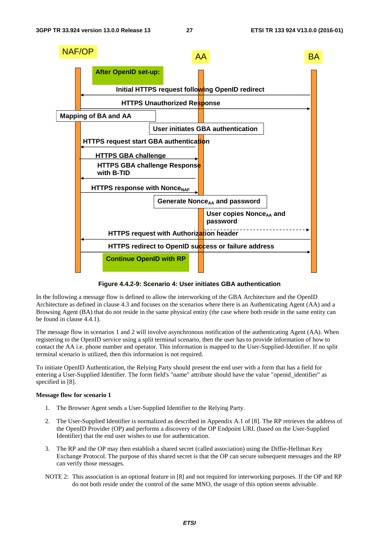

**Figure 4.4.2-9: Scenario 4: User initiates GBA authentication** 

In the following a message flow is defined to allow the interworking of the GBA Architecture and the OpenID Architecture as defined in clause 4.3 and focuses on the scenarios where there is an Authenticating Agent (AA) and a Browsing Agent (BA) that do not reside in the same physical entity (the case where both reside in the same entity can be found in clause 4.4.1).

The message flow in scenarios 1 and 2 will involve asynchronous notification of the authenticating Agent (AA). When registering to the OpenID service using a split terminal scenario, then the user has to provide information of how to contact the AA i.e. phone number and operator. This information is mapped to the User-Supplied-Identifier. If no split terminal scenario is utilized, then this information is not required.

To initiate OpenID Authentication, the Relying Party should present the end user with a form that has a field for entering a User-Supplied Identifier. The form field's "name" attribute should have the value "openid\_identifier" as specified in [8].

#### **Message flow for scenario 1**

- 1. The Browser Agent sends a User-Supplied Identifier to the Relying Party.
- 2. The User-Supplied Identifier is normalized as described in Appendix A.1 of [8]. The RP retrieves the address of the OpenID Provider (OP) and performs a discovery of the OP Endpoint URL (based on the User-Supplied Identifier) that the end user wishes to use for authentication.
- 3. The RP and the OP may then establish a shared secret (called association) using the Diffie-Hellman Key Exchange Protocol. The purpose of this shared secret is that the OP can secure subsequent messages and the RP can verify those messages.
- NOTE 2: This association is an optional feature in [8] and not required for interworking purposes. If the OP and RP do not both reside under the control of the same MNO, the usage of this option seems advisable.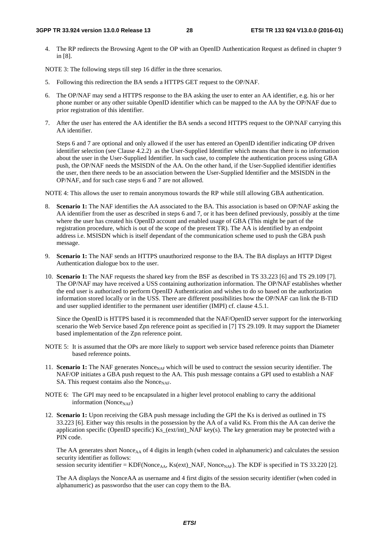4. The RP redirects the Browsing Agent to the OP with an OpenID Authentication Request as defined in chapter 9 in [8].

NOTE 3: The following steps till step 16 differ in the three scenarios.

- 5. Following this redirection the BA sends a HTTPS GET request to the OP/NAF.
- 6. The OP/NAF may send a HTTPS response to the BA asking the user to enter an AA identifier, e.g. his or her phone number or any other suitable OpenID identifier which can be mapped to the AA by the OP/NAF due to prior registration of this identifier.
- 7. After the user has entered the AA identifier the BA sends a second HTTPS request to the OP/NAF carrying this AA identifier.

Steps 6 and 7 are optional and only allowed if the user has entered an OpenID identifier indicating OP driven identifier selection (see Clause 4.2.2) as the User-Supplied Identifier which means that there is no information about the user in the User-Supplied Identifier. In such case, to complete the authentication process using GBA push, the OP/NAF needs the MSISDN of the AA. On the other hand, if the User-Supplied identifier identifies the user, then there needs to be an association between the User-Supplied Identifier and the MSISDN in the OP/NAF, and for such case steps 6 and 7 are not allowed.

NOTE 4: This allows the user to remain anonymous towards the RP while still allowing GBA authentication.

- 8. **Scenario 1:** The NAF identifies the AA associated to the BA. This association is based on OP/NAF asking the AA identifier from the user as described in steps 6 and 7, or it has been defined previously, possibly at the time where the user has created his OpenID account and enabled usage of GBA (This might be part of the registration procedure, which is out of the scope of the present TR). The AA is identified by an endpoint address i.e. MSISDN which is itself dependant of the communication scheme used to push the GBA push message.
- 9. **Scenario 1:** The NAF sends an HTTPS unauthorized response to the BA. The BA displays an HTTP Digest Authentication dialogue box to the user.
- 10. **Scenario 1:** The NAF requests the shared key from the BSF as described in TS 33.223 [6] and TS 29.109 [7]. The OP/NAF may have received a USS containing authorization information. The OP/NAF establishes whether the end user is authorized to perform OpenID Authentication and wishes to do so based on the authorization information stored locally or in the USS. There are different possibilities how the OP/NAF can link the B-TID and user supplied identifier to the permanent user identifier (IMPI) cf. clause 4.5.1.

Since the OpenID is HTTPS based it is recommended that the NAF/OpenID server support for the interworking scenario the Web Service based Zpn reference point as specified in [7] TS 29.109. It may support the Diameter based implementation of the Zpn reference point.

- NOTE 5: It is assumed that the OPs are more likely to support web service based reference points than Diameter based reference points.
- 11. **Scenario 1:** The NAF generates Nonce<sub>NAF</sub> which will be used to contruct the session security identifier. The NAF/OP initiates a GBA push request to the AA. This push message contains a GPI used to establish a NAF SA. This request contains also the Nonce<sub>NAF</sub>.
- NOTE 6: The GPI may need to be encapsulated in a higher level protocol enabling to carry the additional information (Nonce $_{NAF}$ )
- 12. **Scenario 1:** Upon receiving the GBA push message including the GPI the Ks is derived as outlined in TS 33.223 [6]. Either way this results in the possession by the AA of a valid Ks. From this the AA can derive the application specific (OpenID specific)  $\overline{Ks}$  (ext/int)\_NAF key(s). The key generation may be protected with a PIN code.

The AA generates short Nonce<sub>AA</sub> of 4 digits in length (when coded in alphanumeric) and calculates the session security identifier as follows:

session security identifier = KDF(Nonce<sub>AA</sub>, Ks(ext)\_NAF, Nonce<sub>NAF</sub>). The KDF is specified in TS 33.220 [2].

The AA displays the NonceAA as username and 4 first digits of the session security identifier (when coded in alphanumeric) as passwordso that the user can copy them to the BA.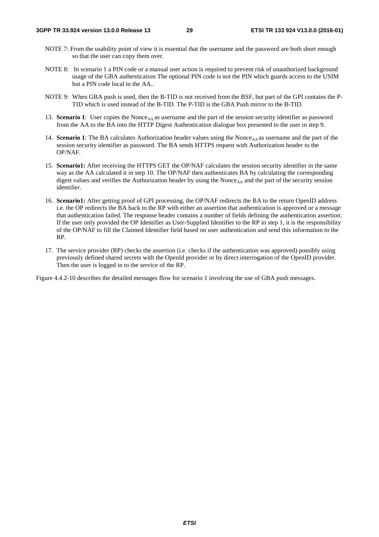- NOTE 7: From the usability point of view it is essential that the username and the password are both short enough so that the user can copy them over.
- NOTE 8: In scenario 1 a PIN code or a manual user action is required to prevent risk of unauthorized background usage of the GBA authentication The optional PIN code is not the PIN which guards access to the USIM but a PIN code local to the AA..
- NOTE 9: When GBA push is used, then the B-TID is not received from the BSF, but part of the GPI contains the P-TID which is used instead of the B-TID. The P-TID is the GBA Push mirror to the B-TID.
- 13. **Scenario 1**: User copies the Nonce<sub>AA</sub> as username and the part of the session security identifier as password from the AA to the BA into the HTTP Digest Authentication dialogue box presented to the user in step 9.
- 14. **Scenario 1**: The BA calculates Authorization header values using the Nonce<sub>AA</sub> as username and the part of the session security identifier as password. The BA sends HTTPS request with Authorization header to the OP/NAF.
- 15. **Scenario1:** After receiving the HTTPS GET the OP/NAF calculates the session security identifier in the same way as the AA calculated it in step 10. The OP/NAF then authenticates BA by calculating the corresponding digest values and verifies the Authorization header by using the Nonce<sub>AA</sub> and the part of the security session identifier.
- 16. **Scenario1:** After getting proof of GPI processing, the OP/NAF redirects the BA to the return OpenID address i.e. the OP redirects the BA back to the RP with either an assertion that authentication is approved or a message that authentication failed. The response header contains a number of fields defining the authentication assertion. If the user only provided the OP Identifier as User-Supplied Identifier to the RP in step 1, it is the responsibility of the OP/NAF to fill the Claimed Identifier field based on user authentication and send this information to the RP.
- 17. The service provider (RP) checks the assertion (i.e. checks if the authentication was approved) possibly using previously defined shared secrets with the OpenId provider or by direct interrogation of the OpenID provider. Then the user is logged in to the service of the RP.

Figure 4.4.2-10 describes the detailed messages flow for scenario 1 involving the use of GBA push messages.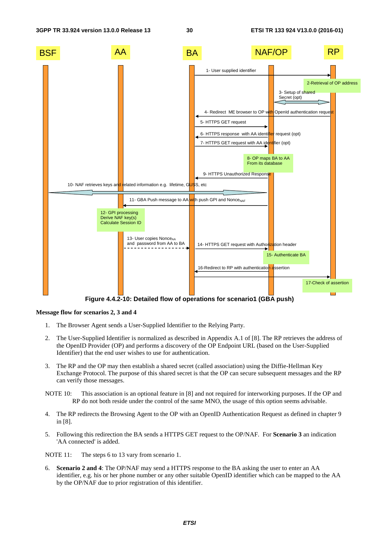

#### **Message flow for scenarios 2, 3 and 4**

- 1. The Browser Agent sends a User-Supplied Identifier to the Relying Party.
- 2. The User-Supplied Identifier is normalized as described in Appendix A.1 of [8]. The RP retrieves the address of the OpenID Provider (OP) and performs a discovery of the OP Endpoint URL (based on the User-Supplied Identifier) that the end user wishes to use for authentication.
- 3. The RP and the OP may then establish a shared secret (called association) using the Diffie-Hellman Key Exchange Protocol. The purpose of this shared secret is that the OP can secure subsequent messages and the RP can verify those messages.
- NOTE 10: This association is an optional feature in [8] and not required for interworking purposes. If the OP and RP do not both reside under the control of the same MNO, the usage of this option seems advisable.
- 4. The RP redirects the Browsing Agent to the OP with an OpenID Authentication Request as defined in chapter 9 in [8].
- 5. Following this redirection the BA sends a HTTPS GET request to the OP/NAF. For **Scenario 3** an indication 'AA connected' is added.

NOTE 11: The steps 6 to 13 vary from scenario 1.

6. **Scenario 2 and 4**: The OP/NAF may send a HTTPS response to the BA asking the user to enter an AA identifier, e.g. his or her phone number or any other suitable OpenID identifier which can be mapped to the AA by the OP/NAF due to prior registration of this identifier.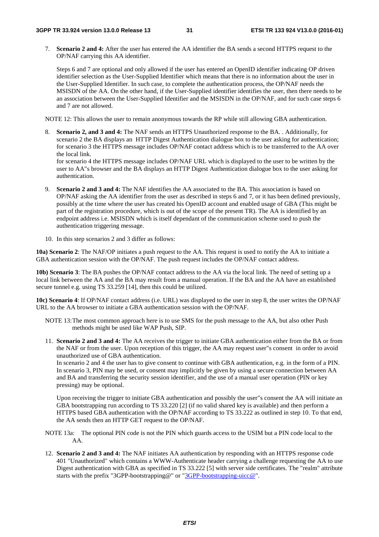7. **Scenario 2 and 4:** After the user has entered the AA identifier the BA sends a second HTTPS request to the OP/NAF carrying this AA identifier.

Steps 6 and 7 are optional and only allowed if the user has entered an OpenID identifier indicating OP driven identifier selection as the User-Supplied Identifier which means that there is no information about the user in the User-Supplied Identifier. In such case, to complete the authentication process, the OP/NAF needs the MSISDN of the AA. On the other hand, if the User-Supplied identifier identifies the user, then there needs to be an association between the User-Supplied Identifier and the MSISDN in the OP/NAF, and for such case steps 6 and 7 are not allowed.

NOTE 12: This allows the user to remain anonymous towards the RP while still allowing GBA authentication.

8. **Scenario 2, and 3 and 4:** The NAF sends an HTTPS Unauthorized response to the BA. . Additionally, for scenario 2 the BA displays an HTTP Digest Authentication dialogue box to the user asking for authentication; for scenario 3 the HTTPS message includes OP/NAF contact address which is to be transferred to the AA over the local link.

for scenario 4 the HTTPS message includes OP/NAF URL which is displayed to the user to be written by the user to AA"s browser and the BA displays an HTTP Digest Authentication dialogue box to the user asking for authentication.

- 9. **Scenario 2 and 3 and 4:** The NAF identifies the AA associated to the BA. This association is based on OP/NAF asking the AA identifier from the user as described in steps 6 and 7, or it has been defined previously, possibly at the time where the user has created his OpenID account and enabled usage of GBA (This might be part of the registration procedure, which is out of the scope of the present TR). The AA is identified by an endpoint address i.e. MSISDN which is itself dependant of the communication scheme used to push the authentication triggering message.
- 10. In this step scenarios 2 and 3 differ as follows:

**10a) Scenario 2**: The NAF/OP initiates a push request to the AA. This request is used to notify the AA to initiate a GBA authentication session with the OP/NAF. The push request includes the OP/NAF contact address.

**10b) Scenario 3**: The BA pushes the OP/NAF contact address to the AA via the local link. The need of setting up a local link between the AA and the BA may result from a manual operation. If the BA and the AA have an established secure tunnel e.g. using TS 33.259 [14], then this could be utilized.

**10c) Scenario 4**: If OP/NAF contact address (i.e. URL) was displayed to the user in step 8, the user writes the OP/NAF URL to the AA browser to initiate a GBA authentication session with the OP/NAF.

- NOTE 13: The most common approach here is to use SMS for the push message to the AA, but also other Push methods might be used like WAP Push, SIP.
- 11. **Scenario 2 and 3 and 4:** The AA receives the trigger to initiate GBA authentication either from the BA or from the NAF or from the user. Upon reception of this trigger, the AA may request user"s consent in order to avoid unauthorized use of GBA authentication.

In scenario 2 and 4 the user has to give consent to continue with GBA authentication, e.g. in the form of a PIN. In scenario 3, PIN may be used, or consent may implicitly be given by using a secure connection between AA and BA and transferring the security session identifier, and the use of a manual user operation (PIN or key pressing) may be optional.

Upon receiving the trigger to initiate GBA authentication and possibly the user"s consent the AA will initiate an GBA bootstrapping run according to TS 33.220 [2] (if no valid shared key is available) and then perform a HTTPS based GBA authentication with the OP/NAF according to TS 33.222 as outlined in step 10. To that end, the AA sends then an HTTP GET request to the OP/NAF.

- NOTE 13a: The optional PIN code is not the PIN which guards access to the USIM but a PIN code local to the AA.
- 12. **Scenario 2 and 3 and 4:** The NAF initiates AA authentication by responding with an HTTPS response code 401 "Unauthorized" which contains a WWW-Authenticate header carrying a challenge requesting the AA to use Digest authentication with GBA as specified in TS 33.222 [5] with server side certificates. The "realm" attribute starts with the prefix "3GPP-bootstrapping@" or "[3GPP-bootstrapping-uicc@"](mailto:3GPP-bootstrapping-uicc@).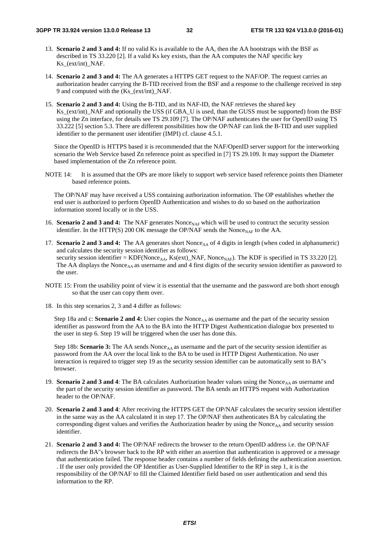- 13. **Scenario 2 and 3 and 4:** If no valid Ks is available to the AA, then the AA bootstraps with the BSF as described in TS 33.220 [2]. If a valid Ks key exists, than the AA computes the NAF specific key Ks\_(ext/int)\_NAF.
- 14. **Scenario 2 and 3 and 4:** The AA generates a HTTPS GET request to the NAF/OP. The request carries an authorization header carrying the B-TID received from the BSF and a response to the challenge received in step 9 and computed with the (Ks\_(ext/int)\_NAF.
- 15. **Scenario 2 and 3 and 4:** Using the B-TID, and its NAF-ID, the NAF retrieves the shared key Ks\_(ext/int)\_NAF and optionally the USS (if GBA\_U is used, than the GUSS must be supported) from the BSF using the Zn interface, for details see TS 29.109 [7]. The OP/NAF authenticates the user for OpenID using TS 33.222 [5] section 5.3. There are different possibilities how the OP/NAF can link the B-TID and user supplied identifier to the permanent user identifier (IMPI) cf. clause 4.5.1.

Since the OpenID is HTTPS based it is recommended that the NAF/OpenID server support for the interworking scenario the Web Service based Zn reference point as specified in [7] TS 29.109. It may support the Diameter based implementation of the Zn reference point.

NOTE 14: It is assumed that the OPs are more likely to support web service based reference points then Diameter based reference points.

The OP/NAF may have received a USS containing authorization information. The OP establishes whether the end user is authorized to perform OpenID Authentication and wishes to do so based on the authorization information stored locally or in the USS.

- 16. **Scenario 2 and 3 and 4:** The NAF generates Nonce<sub>NAF</sub> which will be used to contruct the security session identifier. In the HTTP(S) 200 OK message the OP/NAF sends the Nonce<sub>NAF</sub> to the AA.
- 17. **Scenario 2 and 3 and 4:** The AA generates short Nonce<sub>AA</sub> of 4 digits in length (when coded in alphanumeric) and calculates the security session identifier as follows: security session identifier =  $KDF(Nonce_{AA}, Ks(ext)$ \_NAF, Nonce<sub>NAF</sub>). The KDF is specified in TS 33.220 [2]. The AA displays the Nonce<sub>AA</sub> as username and and 4 first digits of the security session identifier as password to the user.
- NOTE 15: From the usability point of view it is essential that the username and the password are both short enough so that the user can copy them over.
- 18. In this step scenarios 2, 3 and 4 differ as follows:

Step 18a and c: **Scenario 2 and 4:** User copies the Nonce<sub>AA</sub> as username and the part of the security session identifier as password from the AA to the BA into the HTTP Digest Authentication dialogue box presented to the user in step 6. Step 19 will be triggered when the user has done this.

Step 18b: **Scenario 3:** The AA sends Nonce<sub>AA</sub> as username and the part of the security session identifier as password from the AA over the local link to the BA to be used in HTTP Digest Authentication. No user interaction is required to trigger step 19 as the security session identifier can be automatically sent to BA"s browser.

- 19. **Scenario 2 and 3 and 4**: The BA calculates Authorization header values using the Nonce<sub>AA</sub> as username and the part of the security session identifier as password. The BA sends an HTTPS request with Authorization header to the OP/NAF.
- 20. **Scenario 2 and 3 and 4**: After receiving the HTTPS GET the OP/NAF calculates the security session identifier in the same way as the AA calculated it in step 17. The OP/NAF then authenticates BA by calculating the corresponding digest values and verifies the Authorization header by using the Nonce<sub>AA</sub> and security session identifier.
- 21. **Scenario 2 and 3 and 4:** The OP/NAF redirects the browser to the return OpenID address i.e. the OP/NAF redirects the BA"s browser back to the RP with either an assertion that authentication is approved or a message that authentication failed. The response header contains a number of fields defining the authentication assertion. . If the user only provided the OP Identifier as User-Supplied Identifier to the RP in step 1, it is the responsibility of the OP/NAF to fill the Claimed Identifier field based on user authentication and send this information to the RP.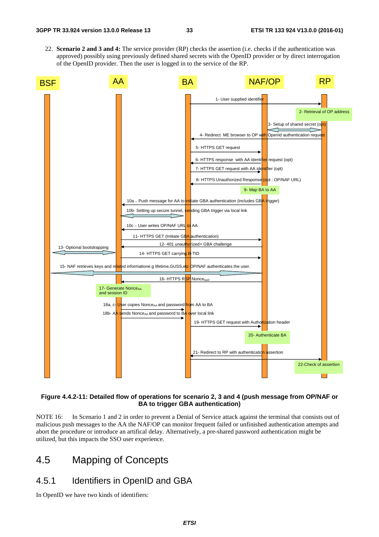22. **Scenario 2 and 3 and 4:** The service provider (RP) checks the assertion (i.e. checks if the authentication was approved) possibly using previously defined shared secrets with the OpenID provider or by direct interrogation of the OpenID provider. Then the user is logged in to the service of the RP.



#### **Figure 4.4.2-11: Detailed flow of operations for scenario 2, 3 and 4 (push message from OP/NAF or BA to trigger GBA authentication)**

NOTE 16: In Scenario 1 and 2 in order to prevent a Denial of Service attack against the terminal that consists out of malicious push messages to the AA the NAF/OP can monitor frequent failed or unfinished authentication attempts and abort the procedure or introduce an artifical delay. Alternatively, a pre-shared password authentication might be utilized, but this impacts the SSO user experience.

### 4.5 Mapping of Concepts

### 4.5.1 Identifiers in OpenID and GBA

In OpenID we have two kinds of identifiers: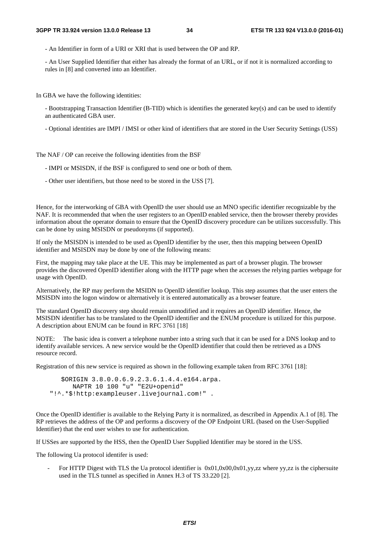- An Identifier in form of a URI or XRI that is used between the OP and RP.

- An User Supplied Identifier that either has already the format of an URL, or if not it is normalized according to rules in [8] and converted into an Identifier.

In GBA we have the following identities:

- Bootstrapping Transaction Identifier (B-TID) which is identifies the generated key(s) and can be used to identify an authenticated GBA user.

- Optional identities are IMPI / IMSI or other kind of identifiers that are stored in the User Security Settings (USS)

The NAF / OP can receive the following identities from the BSF

- IMPI or MSISDN, if the BSF is configured to send one or both of them.
- Other user identifiers, but those need to be stored in the USS [7].

Hence, for the interworking of GBA with OpenID the user should use an MNO specific identifier recognizable by the NAF. It is recommended that when the user registers to an OpenID enabled service, then the browser thereby provides information about the operator domain to ensure that the OpenID discovery procedure can be utilizes successfully. This can be done by using MSISDN or pseudonyms (if supported).

If only the MSISDN is intended to be used as OpenID identifier by the user, then this mapping between OpenID identifier and MSISDN may be done by one of the following means:

First, the mapping may take place at the UE. This may be implemented as part of a browser plugin. The browser provides the discovered OpenID identifier along with the HTTP page when the accesses the relying parties webpage for usage with OpenID.

Alternatively, the RP may perform the MSIDN to OpenID identifier lookup. This step assumes that the user enters the MSISDN into the logon window or alternatively it is entered automatically as a browser feature.

The standard OpenID discovery step should remain unmodified and it requires an OpenID identifier. Hence, the MSISDN identifier has to be translated to the OpenID identifier and the ENUM procedure is utilized for this purpose. A description about ENUM can be found in RFC 3761 [18]

NOTE: The basic idea is convert a telephone number into a string such that it can be used for a DNS lookup and to identify available services. A new service would be the OpenID identifier that could then be retrieved as a DNS resource record.

Registration of this new service is required as shown in the following example taken from RFC 3761 [18]:

 \$ORIGIN 3.8.0.0.6.9.2.3.6.1.4.4.e164.arpa. NAPTR 10 100 "u" "E2U+openid" "!^.\*\$!http:exampleuser.livejournal.com!" .

Once the OpenID identifier is available to the Relying Party it is normalized, as described in Appendix A.1 of [8]. The RP retrieves the address of the OP and performs a discovery of the OP Endpoint URL (based on the User-Supplied Identifier) that the end user wishes to use for authentication.

If USSes are supported by the HSS, then the OpenID User Supplied Identifier may be stored in the USS.

The following Ua protocol identifer is used:

For HTTP Digest with TLS the Ua protocol identifier is  $0x01,0x00,0x01,yy,zz$  where yy,zz is the ciphersuite used in the TLS tunnel as specified in Annex H.3 of TS 33.220 [2].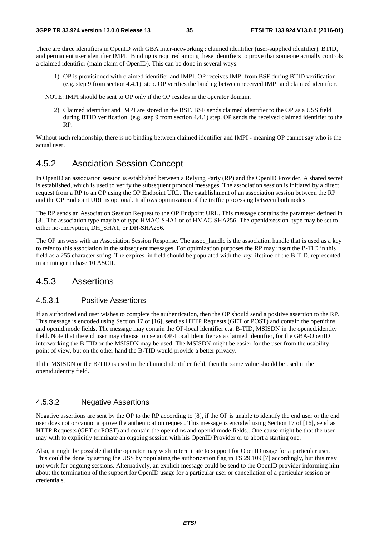There are three identifiers in OpenID with GBA inter-networking : claimed identifier (user-supplied identifier), BTID, and permanent user identifier IMPI. Binding is required among these identifiers to prove that someone actually controls a claimed identifier (main claim of OpenID). This can be done in several ways:

1) OP is provisioned with claimed identifier and IMPI. OP receives IMPI from BSF during BTID verification (e.g. step 9 from section 4.4.1) step. OP verifies the binding between received IMPI and claimed identifier.

NOTE: IMPI should be sent to OP only if the OP resides in the operator domain.

2) Claimed identifier and IMPI are stored in the BSF. BSF sends claimed identifier to the OP as a USS field during BTID verification (e.g. step 9 from section 4.4.1) step. OP sends the received claimed identifier to the RP.

Without such relationship, there is no binding between claimed identifier and IMPI - meaning OP cannot say who is the actual user.

### 4.5.2 Asociation Session Concept

In OpenID an association session is established between a Relying Party (RP) and the OpenID Provider. A shared secret is established, which is used to verify the subsequent protocol messages. The association session is initiated by a direct request from a RP to an OP using the OP Endpoint URL. The establishment of an association session between the RP and the OP Endpoint URL is optional. It allows optimization of the traffic processing between both nodes.

The RP sends an Association Session Request to the OP Endpoint URL. This message contains the parameter defined in [8]. The association type may be of type HMAC-SHA1 or of HMAC-SHA256. The openid:session type may be set to either no-encryption, DH\_SHA1, or DH-SHA256.

The OP answers with an Association Session Response. The assoc\_handle is the association handle that is used as a key to refer to this association in the subsequent messages. For optimization purposes the RP may insert the B-TID in this field as a 255 character string. The expires in field should be populated with the key lifetime of the B-TID, represented in an integer in base 10 ASCII.

#### 4.5.3 Assertions

#### 4.5.3.1 Positive Assertions

If an authorized end user wishes to complete the authentication, then the OP should send a positive assertion to the RP. This message is encoded using Section 17 of [16], send as HTTP Requests (GET or POST) and contain the openid:ns and openid.mode fields. The message may contain the OP-local identifier e.g. B-TID, MSISDN in the opened.identity field. Note that the end user may choose to use an OP-Local Identifier as a claimed identifier, for the GBA-OpenID interworking the B-TID or the MSISDN may be used. The MSISDN might be easier for the user from the usability point of view, but on the other hand the B-TID would provide a better privacy.

If the MSISDN or the B-TID is used in the claimed identifier field, then the same value should be used in the openid.identity field.

#### 4.5.3.2 Negative Assertions

Negative assertions are sent by the OP to the RP according to [8], if the OP is unable to identify the end user or the end user does not or cannot approve the authentication request. This message is encoded using Section 17 of [16], send as HTTP Requests (GET or POST) and contain the openid:ns and openid.mode fields.. One cause might be that the user may with to explicitly terminate an ongoing session with his OpenID Provider or to abort a starting one.

Also, it might be possible that the operator may wish to terminate to support for OpenID usage for a particular user. This could be done by setting the USS by populating the authorization flag in TS 29.109 [7] accordingly, but this may not work for ongoing sessions. Alternatively, an explicit message could be send to the OpenID provider informing him about the termination of the support for OpenID usage for a particular user or cancellation of a particular session or credentials.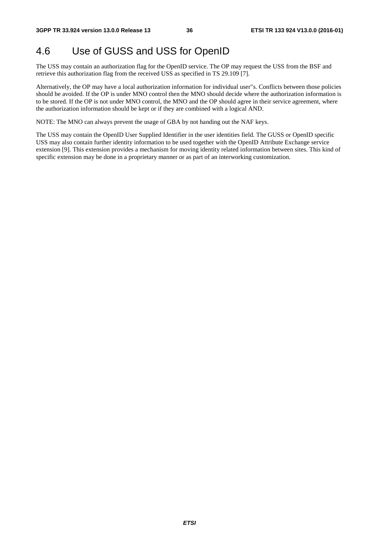### 4.6 Use of GUSS and USS for OpenID

The USS may contain an authorization flag for the OpenID service. The OP may request the USS from the BSF and retrieve this authorization flag from the received USS as specified in TS 29.109 [7].

Alternatively, the OP may have a local authorization information for individual user"s. Conflicts between those policies should be avoided. If the OP is under MNO control then the MNO should decide where the authorization information is to be stored. If the OP is not under MNO control, the MNO and the OP should agree in their service agreement, where the authorization information should be kept or if they are combined with a logical AND.

NOTE: The MNO can always prevent the usage of GBA by not handing out the NAF keys.

The USS may contain the OpenID User Supplied Identifier in the user identities field. The GUSS or OpenID specific USS may also contain further identity information to be used together with the OpenID Attribute Exchange service extension [9]. This extension provides a mechanism for moving identity related information between sites. This kind of specific extension may be done in a proprietary manner or as part of an interworking customization.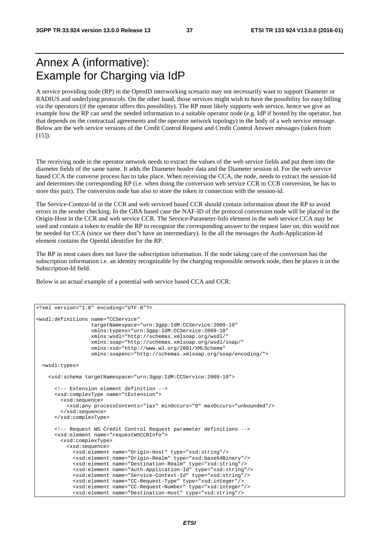### Annex A (informative): Example for Charging via IdP

A service providing node (RP) in the OpenID interworking scenario may not necessarily want to support Diameter or RADIUS and underlying protocols. On the other hand, those services might wish to have the possibility for easy billing via the operators (if the operator offers this possibility). The RP most likely supports web service, hence we give an example how the RP can send the needed information to a suitable operator node (e.g. IdP if hosted by the operator, but that depends on the contractual agreements and the operator network topology) in the body of a web service message. Below are the web service versions of the Credit Control Request and Credit Control Answer messages (taken from  $[15]$ ).

The receiving node in the operator network needs to extract the values of the web service fields and put them into the diameter fields of the same name. It adds the Diameter header data and the Diameter session id. For the web service based CCA the converse process has to take place. When receiving the CCA, the node, needs to extract the session-Id and determines the corresponding RP (i.e. when doing the conversion web service CCR to CCR conversion, he has to store this pair). The conversion node has also to store the token in connection with the session-id.

The Service-Context-Id in the CCR and web serviced based CCR should contain information about the RP to avoid errors in the sender checking. In the GBA based case the NAF-ID of the protocol conversion node will be placed in the Origin-Host in the CCR and web service CCR. The Service-Parameter-Info element in the web service CCA may be used and contain a token to enable the RP to recognize the corresponding answer to the request later on, this would not be needed for CCA (since we there don"t have an intermediary). In the all the messages the Auth-Application-Id element contains the OpenId identifier for the RP.

The RP in most cases does not have the subscription information. If the node taking care of the conversion has the subscription information i.e. an identity recognizable by the charging responsible network node, then he places it in the Subscription-Id field.

Below is an actual example of a potential web service based CCA and CCR:

```
<?xml version="1.0" encoding="UTF-8"?> 
<wsdl:definitions name="CCService" 
                   targetNamespace="urn:3gpp:IdM:CCService:2009-10" 
                   xmlns:typens="urn:3gpp:IdM:CCService:2009-10" 
                   xmlns:wsdl="http://schemas.xmlsoap.org/wsdl/" 
                   xmlns:soap="http://schemas.xmlsoap.org/wsdl/soap/" 
                   xmlns:xsd="http://www.w3.org/2001/XMLSchema" 
                   xmlns:soapenc="http://schemas.xmlsoap.org/soap/encoding/"> 
  <wsdl:types> 
    <xsd:schema targetNamespace="urn:3gpp:IdM:CCService:2009-10"> 
       <!-- Extension element definition --> 
      <xsd:complexType name="tExtension"> 
        <xsd:sequence> 
           <xsd:any processContents="lax" minOccurs="0" maxOccurs="unbounded"/> 
         </xsd:sequence> 
      </xsd:complexType> 
       <!-- Request WS Credit Control Request parameter definitions --> 
       <xsd:element name="requestWSCCRInfo"> 
         <xsd:complexType> 
           <xsd:sequence> 
             <xsd:element name="Origin-Host" type="xsd:string"/> 
             <xsd:element name="Origin-Realm" type="xsd:base64Binary"/> 
             <xsd:element name="Destination-Realm" type="xsd:string"/> 
             <xsd:element name="Auth-Application-Id" type="xsd:string"/> 
             <xsd:element name="Service-Context-Id" type="xsd:string"/> 
             <xsd:element name="CC-Request-Type" type="xsd:integer"/> 
             <xsd:element name="CC-Request-Number" type="xsd:integer"/> 
             <xsd:element name="Destination-Host" type="xsd:string"/>
```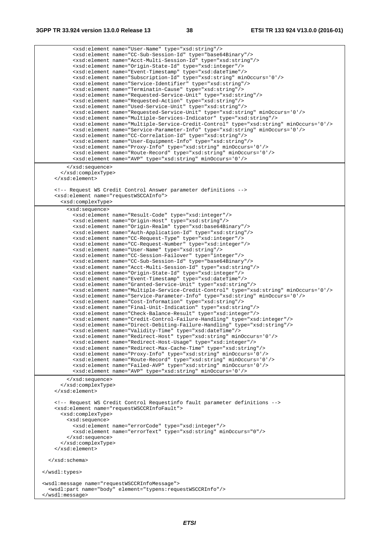<xsd:element name="User-Name" type="xsd:string"/> <xsd:element name="CC-Sub-Session-Id" type="base64Binary"/> <xsd:element name="Acct-Multi-Session-Id" type="xsd:string"/> <xsd:element name="Origin-State-Id" type="xsd:integer"/> <xsd:element name="Event-Timestamp" type="xsd:dateTime"/> <xsd:element name="Subscription-Id" type="xsd:string" minOccurs='0'/> <xsd:element name="Service-Identifier" type="xsd:string"/> <xsd:element name="Terminatin-Cause" type="xsd:string"/> <xsd:element name="Requested-Service-Unit" type="xsd:string"/> <xsd:element name="Requested-Action" type="xsd:string"/> <xsd:element name="Used-Service-Unit" type="xsd:string"/> <xsd:element name="Requested-Service-Unit" type="xsd:string" minOccurs='0'/> <xsd:element name="Multiple-Services-Indicator" type="xsd:string"/> <xsd:element name="Multiple-Service-Credit-Control" type="xsd:string" minOccurs='0'/> <xsd:element name="Service-Parameter-Info" type="xsd:string" minOccurs='0'/> <xsd:element name="CC-Correlation-Id" type="xsd:string"/> <xsd:element name="User-Equipment-Info" type="xsd:string"/> <xsd:element name="Proxy-Info" type="xsd:string" minOccurs='0'/> <xsd:element name="Route-Record" type="xsd:string" minOccurs='0'/> <xsd:element name="AVP" type="xsd:string" minOccurs='0'/> </xsd:sequence> </xsd:complexType> </xsd:element> <!-- Request WS Credit Control Answer parameter definitions --> <xsd:element name="requestWSCCAInfo"> <xsd:complexType> <xsd:sequence> <xsd:element name="Result-Code" type="xsd:integer"/> <xsd:element name="Origin-Host" type="xsd:string"/> <xsd:element name="Origin-Realm" type="xsd:base64Binary"/> <xsd:element name="Auth-Application-Id" type="xsd:string"/> <xsd:element name="CC-Request-Type" type="xsd:integer"/> <xsd:element name="CC-Request-Number" type="xsd:integer"/> <xsd:element name="User-Name" type="xsd:string"/> <xsd:element name="CC-Session-Failover" type="integer"/> <xsd:element name="CC-Sub-Session-Id" type="base64Binary"/> <xsd:element name="Acct-Multi-Session-Id" type="xsd:string"/> <xsd:element name="Origin-State-Id" type="xsd:integer"/> <xsd:element name="Event-Timestamp" type="xsd:dateTime"/> <xsd:element name="Granted-Service-Unit" type="xsd:string"/> <xsd:element name="Multiple-Service-Credit-Control" type="xsd:string" minOccurs='0'/> <xsd:element name="Service-Parameter-Info" type="xsd:string" minOccurs='0'/> <xsd:element name="Cost-Information" type="xsd:string"/> <xsd:element name="Final-Unit-Indication" type="xsd:string"/> <xsd:element name="Check-Balance-Result" type="xsd:integer"/> <xsd:element name="Credit-Control-Failure-Handling" type="xsd:integer"/> <xsd:element name="Direct-Debiting-Failure-Handling" type="xsd:string"/> <xsd:element name="Validity-Time" type="xsd:dateTime"/> <xsd:element name="Redirect-Host" type="xsd:string" minOccurs='0'/> <xsd:element name="Redirect-Host-Usage" type="xsd:integer"/> <xsd:element name="Redirect-Max-Cache-Time" type="xsd:string"/> <xsd:element name="Proxy-Info" type="xsd:string" minOccurs='0'/> <xsd:element name="Route-Record" type="xsd:string" minOccurs='0'/> <xsd:element name="Failed-AVP" type="xsd:string" minOccurs='0'/> <xsd:element name="AVP" type="xsd:string" minOccurs='0'/> </xsd:sequence> </xsd:complexType> </xsd:element> <!-- Request WS Credit Control Requestinfo fault parameter definitions --> <xsd:element name="requestWSCCRInfoFault"> <xsd:complexType> <xsd:sequence> <xsd:element name="errorCode" type="xsd:integer"/> <xsd:element name="errorText" type="xsd:string" minOccurs="0"/> </xsd:sequence> </xsd:complexType> </xsd:element> </xsd:schema> </wsdl:types> <wsdl:message name="requestWSCCRInfoMessage"> <wsdl:part name="body" element="typens:requestWSCCRInfo"/> </wsdl:message>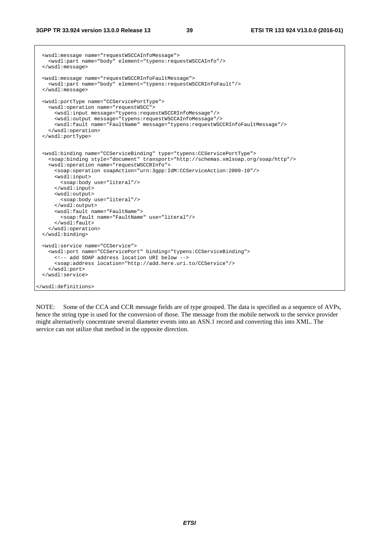```
 <wsdl:message name="requestWSCCAInfoMessage"> 
    <wsdl:part name="body" element="typens:requestWSCCAInfo"/> 
  </wsdl:message> 
  <wsdl:message name="requestWSCCRInfoFaultMessage"> 
    <wsdl:part name="body" element="typens:requestWSCCRInfoFault"/> 
  </wsdl:message> 
  <wsdl:portType name="CCServicePortType"> 
    <wsdl:operation name="requestWSCC"> 
      <wsdl:input message="typens:requestWSCCRInfoMessage"/> 
      <wsdl:output message="typens:requestWSCCAInfoMessage"/> 
      <wsdl:fault name="FaultName" message="typens:requestWSCCRInfoFaultMessage"/> 
    </wsdl:operation> 
  </wsdl:portType> 
  <wsdl:binding name="CCServiceBinding" type="typens:CCServicePortType"> 
    <soap:binding style="document" transport="http://schemas.xmlsoap.org/soap/http"/> 
    <wsdl:operation name="requestWSCCRInfo"> 
      <soap:operation soapAction="urn:3gpp:IdM:CCServiceAction:2009-10"/> 
      <wsdl:input> 
         <soap:body use="literal"/> 
      </wsdl:input> 
      <wsdl:output> 
        <soap:body use="literal"/> 
       </wsdl:output> 
      <wsdl:fault name="FaultName"> 
        <soap:fault name="FaultName" use="literal"/> 
      </wsdl:fault> 
    </wsdl:operation> 
  </wsdl:binding> 
  <wsdl:service name="CCService"> 
    <wsdl:port name="CCServicePort" binding="typens:CCServiceBinding"> 
      <!-- add SOAP address location URI below --> 
      <soap:address location="http://add.here.uri.to/CCService"/> 
    </wsdl:port> 
  </wsdl:service> 
</wsdl:definitions>
```
NOTE: Some of the CCA and CCR message fields are of type grouped. The data is specified as a sequence of AVPs, hence the string type is used for the conversion of those. The message from the mobile network to the service provider might alternatively concentrate several diameter events into an ASN.1 record and converting this into XML. The service can not utilize that method in the opposite direction.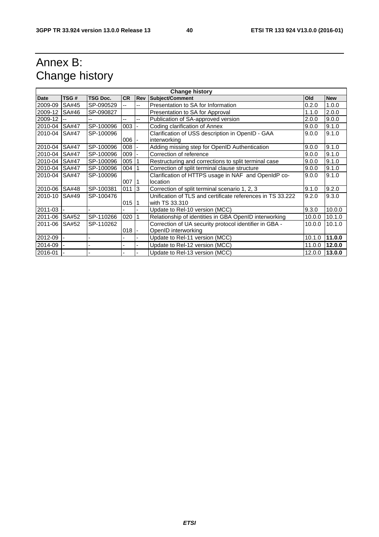### Annex B: Change history

| <b>Change history</b> |              |                 |           |                          |                                                                               |        |            |
|-----------------------|--------------|-----------------|-----------|--------------------------|-------------------------------------------------------------------------------|--------|------------|
| <b>Date</b>           | TSG#         | <b>TSG Doc.</b> | <b>CR</b> | <b>Rev</b>               | Subject/Comment                                                               | Old    | <b>New</b> |
| 2009-09               | <b>SA#45</b> | SP-090529       |           | --                       | Presentation to SA for Information                                            | 0.2.0  | 1.0.0      |
| 2009-12               | SA#46        | SP-090827       |           |                          | Presentation to SA for Approval                                               | 1.1.0  | 2.0.0      |
| 2009-12               |              |                 | --        | --                       | Publication of SA-approved version                                            | 2.0.0  | 9.0.0      |
| 2010-04               | <b>SA#47</b> | SP-100096       | 003       | $\blacksquare$           | Coding clarification of Annex                                                 | 9.0.0  | 9.1.0      |
| 2010-04               | <b>SA#47</b> | SP-100096       | $006$ -   |                          | Clarification of USS description in OpenID - GAA<br>interworking              | 9.0.0  | 9.1.0      |
| 2010-04               | <b>SA#47</b> | SP-100096       | 008       |                          | Adding missing step for OpenID Authentication                                 | 9.0.0  | 9.1.0      |
| 2010-04               | <b>SA#47</b> | SP-100096       | 009       |                          | Correction of reference                                                       | 9.0.0  | 9.1.0      |
| 2010-04               | <b>SA#47</b> | SP-100096       | 005       | $\vert$ 1                | Restructuring and corrections to split terminal case                          | 9.0.0  | 9.1.0      |
| 2010-04               | <b>SA#47</b> | SP-100096       | 004       | $\vert$ 1                | Correction of split terminal clause structure                                 | 9.0.0  | 9.1.0      |
| 2010-04               | <b>SA#47</b> | SP-100096       | 007       | $\overline{11}$          | Clarification of HTTPS usage in NAF and OpenIdP co-<br>location               | 9.0.0  | 9.1.0      |
| 2010-06               | <b>SA#48</b> | SP-100381       | 011       | $\overline{3}$           | Correction of split terminal scenario 1, 2, 3                                 | 9.1.0  | 9.2.0      |
| 2010-10               | SA#49        | SP-100476       | 015       | -11                      | Unification of TLS and certificate references in TS 33.222<br>with TS 33.310  | 9.2.0  | 9.3.0      |
| 2011-03               |              |                 |           |                          | Update to Rel-10 version (MCC)                                                | 9.3.0  | 10.0.0     |
| 2011-06               | SA#52        | SP-110266       | 020       |                          | Relationship of identities in GBA OpenID interworking                         | 10.0.0 | 10.1.0     |
| 2011-06               | SA#52        | SP-110262       | $018$ -   |                          | Correction of UA security protocol identifier in GBA -<br>OpenID interworking | 10.0.0 | 10.1.0     |
| 2012-09               |              |                 |           |                          | Update to Rel-11 version (MCC)                                                | 10.1.0 | 11.0.0     |
| 2014-09               |              |                 |           | $\overline{\phantom{0}}$ | Update to Rel-12 version (MCC)                                                | 11.0.0 | 12.0.0     |
| 2016-01               |              |                 |           |                          | Update to Rel-13 version (MCC)                                                | 12.0.0 | 13.0.0     |